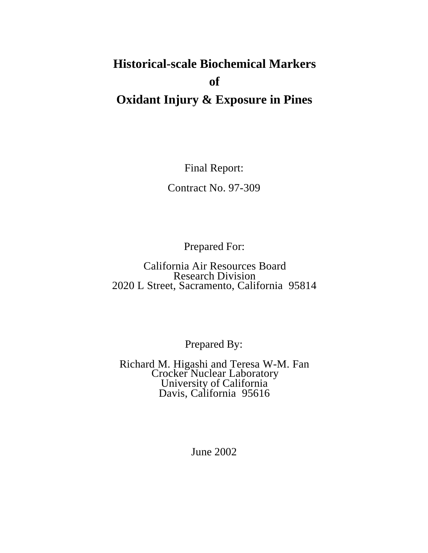# **Historical-scale Biochemical Markers of Oxidant Injury & Exposure in Pines**

Final Report:

Contract No. 97-309

Prepared For:

California Air Resources Board Research Division 2020 L Street, Sacramento, California 95814

Prepared By:

Richard M. Higashi and Teresa W-M. Fan Crocker Nuclear Laboratory University of California Davis, California 95616

June 2002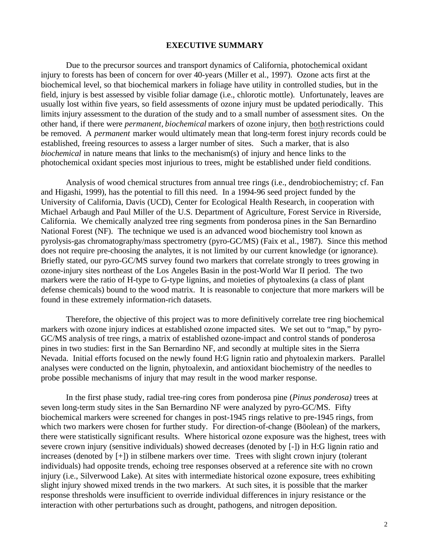#### **EXECUTIVE SUMMARY**

other hand, if there were *permanent, biochemical* markers of ozone injury, then <u>both</u> restrictions could be generaled as a summary of the general property of the general second as a summary of the general second then the Due to the precursor sources and transport dynamics of California, photochemical oxidant injury to forests has been of concern for over 40-years (Miller et al., 1997). Ozone acts first at the biochemical level, so that biochemical markers in foliage have utility in controlled studies, but in the field, injury is best assessed by visible foliar damage (i.e., chlorotic mottle). Unfortunately, leaves are usually lost within five years, so field assessments of ozone injury must be updated periodically. This limits injury assessment to the duration of the study and to a small number of assessment sites. On the be removed. A *permanent* marker would ultimately mean that long-term forest injury records could be established, freeing resources to assess a larger number of sites. Such a marker, that is also *biochemical* in nature means that links to the mechanism(s) of injury and hence links to the photochemical oxidant species most injurious to trees, might be established under field conditions.

Analysis of wood chemical structures from annual tree rings (i.e., dendrobiochemistry; cf. Fan and Higashi, 1999), has the potential to fill this need. In a 1994-96 seed project funded by the University of California, Davis (UCD), Center for Ecological Health Research, in cooperation with Michael Arbaugh and Paul Miller of the U.S. Department of Agriculture, Forest Service in Riverside, California. We chemically analyzed tree ring segments from ponderosa pines in the San Bernardino National Forest (NF). The technique we used is an advanced wood biochemistry tool known as pyrolysis-gas chromatography/mass spectrometry (pyro-GC/MS) (Faix et al., 1987). Since this method does not require pre-choosing the analytes, it is not limited by our current knowledge (or ignorance). Briefly stated, our pyro-GC/MS survey found two markers that correlate strongly to trees growing in ozone-injury sites northeast of the Los Angeles Basin in the post-World War II period. The two markers were the ratio of H-type to G-type lignins, and moieties of phytoalexins (a class of plant defense chemicals) bound to the wood matrix. It is reasonable to conjecture that more markers will be found in these extremely information-rich datasets.

Therefore, the objective of this project was to more definitively correlate tree ring biochemical markers with ozone injury indices at established ozone impacted sites. We set out to "map," by pyro-GC/MS analysis of tree rings, a matrix of established ozone-impact and control stands of ponderosa pines in two studies: first in the San Bernardino NF, and secondly at multiple sites in the Sierra Nevada. Initial efforts focused on the newly found H:G lignin ratio and phytoalexin markers. Parallel analyses were conducted on the lignin, phytoalexin, and antioxidant biochemistry of the needles to probe possible mechanisms of injury that may result in the wood marker response.

In the first phase study, radial tree-ring cores from ponderosa pine (*Pinus ponderosa)* trees at seven long-term study sites in the San Bernardino NF were analyzed by pyro-GC/MS. Fifty biochemical markers were screened for changes in post-1945 rings relative to pre-1945 rings, from which two markers were chosen for further study. For direction-of-change (Böolean) of the markers, there were statistically significant results. Where historical ozone exposure was the highest, trees with severe crown injury (sensitive individuals) showed decreases (denoted by [-]) in H:G lignin ratio and increases (denoted by [+]) in stilbene markers over time. Trees with slight crown injury (tolerant individuals) had opposite trends, echoing tree responses observed at a reference site with no crown injury (i.e., Silverwood Lake). At sites with intermediate historical ozone exposure, trees exhibiting slight injury showed mixed trends in the two markers. At such sites, it is possible that the marker response thresholds were insufficient to override individual differences in injury resistance or the interaction with other perturbations such as drought, pathogens, and nitrogen deposition.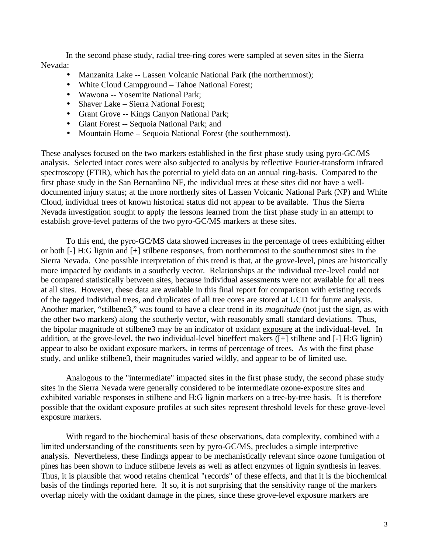In the second phase study, radial tree-ring cores were sampled at seven sites in the Sierra Nevada:

- Manzanita Lake -- Lassen Volcanic National Park (the northernmost);
- White Cloud Campground Tahoe National Forest;
- Wawona -- Yosemite National Park:
- Shaver Lake Sierra National Forest;
- Grant Grove -- Kings Canyon National Park;
- · Giant Forest -- Sequoia National Park; and
- Mountain Home Sequoia National Forest (the southernmost).

These analyses focused on the two markers established in the first phase study using pyro-GC/MS analysis. Selected intact cores were also subjected to analysis by reflective Fourier-transform infrared spectroscopy (FTIR), which has the potential to yield data on an annual ring-basis. Compared to the first phase study in the San Bernardino NF, the individual trees at these sites did not have a welldocumented injury status; at the more northerly sites of Lassen Volcanic National Park (NP) and White Cloud, individual trees of known historical status did not appear to be available. Thus the Sierra Nevada investigation sought to apply the lessons learned from the first phase study in an attempt to establish grove-level patterns of the two pyro-GC/MS markers at these sites.

To this end, the pyro-GC/MS data showed increases in the percentage of trees exhibiting either or both [-] H:G lignin and [+] stilbene responses, from northernmost to the southernmost sites in the Sierra Nevada. One possible interpretation of this trend is that, at the grove-level, pines are historically more impacted by oxidants in a southerly vector. Relationships at the individual tree-level could not be compared statistically between sites, because individual assessments were not available for all trees at all sites. However, these data are available in this final report for comparison with existing records of the tagged individual trees, and duplicates of all tree cores are stored at UCD for future analysis. Another marker, "stilbene3," was found to have a clear trend in its *magnitude* (not just the sign, as with the other two markers) along the southerly vector, with reasonably small standard deviations. Thus, the bipolar magnitude of stilbene3 may be an indicator of oxidant exposure at the individual-level. In addition, at the grove-level, the two individual-level bioeffect makers ([+] stilbene and [-] H:G lignin) appear to also be oxidant exposure markers, in terms of percentage of trees. As with the first phase study, and unlike stilbene3, their magnitudes varied wildly, and appear to be of limited use.

Analogous to the "intermediate" impacted sites in the first phase study, the second phase study sites in the Sierra Nevada were generally considered to be intermediate ozone-exposure sites and exhibited variable responses in stilbene and H:G lignin markers on a tree-by-tree basis. It is therefore possible that the oxidant exposure profiles at such sites represent threshold levels for these grove-level exposure markers.

With regard to the biochemical basis of these observations, data complexity, combined with a limited understanding of the constituents seen by pyro-GC/MS, precludes a simple interpretive analysis. Nevertheless, these findings appear to be mechanistically relevant since ozone fumigation of pines has been shown to induce stilbene levels as well as affect enzymes of lignin synthesis in leaves. Thus, it is plausible that wood retains chemical "records" of these effects, and that it is the biochemical basis of the findings reported here. If so, it is not surprising that the sensitivity range of the markers overlap nicely with the oxidant damage in the pines, since these grove-level exposure markers are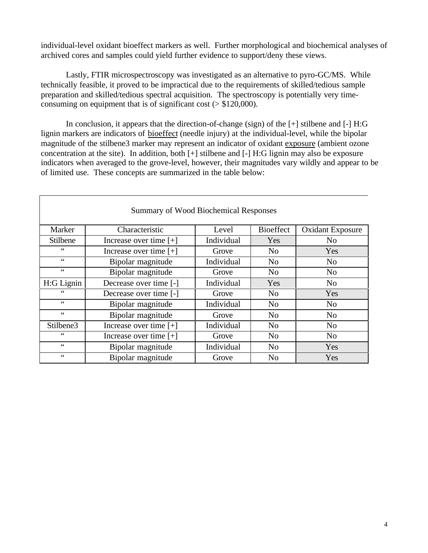individual-level oxidant bioeffect markers as well. Further morphological and biochemical analyses of archived cores and samples could yield further evidence to support/deny these views.

Lastly, FTIR microspectroscopy was investigated as an alternative to pyro-GC/MS. While technically feasible, it proved to be impractical due to the requirements of skilled/tedious sample preparation and skilled/tedious spectral acquisition. The spectroscopy is potentially very timeconsuming on equipment that is of significant cost (> \$120,000).

In conclusion, it appears that the direction-of-change (sign) of the  $[+]$  stilbene and  $[$ - $]$  H:G lignin markers are indicators of bioeffect (needle injury) at the individual-level, while the bipolar magnitude of the stilbene3 marker may represent an indicator of oxidant exposure (ambient ozone concentration at the site). In addition, both [+] stilbene and [-] H:G lignin may also be exposure indicators when averaged to the grove-level, however, their magnitudes vary wildly and appear to be of limited use. These concepts are summarized in the table below:

| <b>Summary of Wood Biochemical Responses</b> |                          |            |                  |                         |  |  |  |  |  |
|----------------------------------------------|--------------------------|------------|------------------|-------------------------|--|--|--|--|--|
| Marker                                       | Characteristic           | Level      | <b>Bioeffect</b> | <b>Oxidant Exposure</b> |  |  |  |  |  |
| Stilbene                                     | Increase over time $[+]$ | Individual | Yes              | N <sub>0</sub>          |  |  |  |  |  |
| 66                                           | Increase over time $[+]$ | Grove      | N <sub>0</sub>   | Yes                     |  |  |  |  |  |
| 66                                           | Bipolar magnitude        | Individual | N <sub>0</sub>   | N <sub>o</sub>          |  |  |  |  |  |
| 66                                           | Bipolar magnitude        | Grove      | N <sub>0</sub>   | N <sub>0</sub>          |  |  |  |  |  |
| H:G Lignin                                   | Decrease over time [-]   | Individual | Yes              | N <sub>0</sub>          |  |  |  |  |  |
| $\leq$                                       | Decrease over time [-]   | Grove      | No               | <b>Yes</b>              |  |  |  |  |  |
| 66                                           | Bipolar magnitude        | Individual | N <sub>0</sub>   | N <sub>0</sub>          |  |  |  |  |  |
| $\zeta$ $\zeta$                              | Bipolar magnitude        | Grove      | N <sub>0</sub>   | N <sub>0</sub>          |  |  |  |  |  |
| Stilbene3                                    | Increase over time $[+]$ | Individual | No               | N <sub>o</sub>          |  |  |  |  |  |
| $\zeta$ $\zeta$                              | Increase over time $[+]$ | Grove      | N <sub>o</sub>   | N <sub>0</sub>          |  |  |  |  |  |
| $\zeta$ $\zeta$                              | Bipolar magnitude        | Individual | N <sub>0</sub>   | Yes                     |  |  |  |  |  |
| 66                                           | Bipolar magnitude        | Grove      | N <sub>0</sub>   | Yes                     |  |  |  |  |  |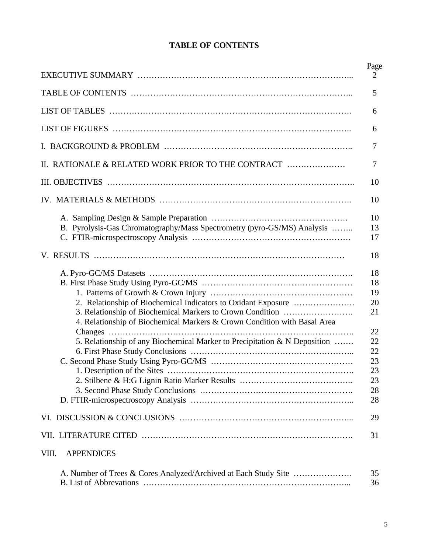|  | <b>TABLE OF CONTENTS</b> |
|--|--------------------------|
|--|--------------------------|

|                                                                           | Page     |
|---------------------------------------------------------------------------|----------|
|                                                                           | 2        |
|                                                                           | 5        |
|                                                                           | 6        |
|                                                                           | 6        |
|                                                                           | 7        |
| II. RATIONALE & RELATED WORK PRIOR TO THE CONTRACT                        | 7        |
|                                                                           | 10       |
|                                                                           | 10       |
|                                                                           | 10       |
| B. Pyrolysis-Gas Chromatography/Mass Spectrometry (pyro-GS/MS) Analysis   | 13       |
|                                                                           | 17       |
|                                                                           | 18       |
|                                                                           | 18       |
|                                                                           | 18       |
|                                                                           | 19       |
|                                                                           | 20       |
| 3. Relationship of Biochemical Markers to Crown Condition                 | 21       |
| 4. Relationship of Biochemical Markers & Crown Condition with Basal Area  |          |
| Changes                                                                   | 22       |
| 5. Relationship of any Biochemical Marker to Precipitation & N Deposition | 22       |
|                                                                           | 22       |
|                                                                           | 23       |
|                                                                           | 23       |
|                                                                           | 23       |
|                                                                           | 28<br>28 |
|                                                                           |          |
|                                                                           | 29       |
|                                                                           | 31       |
| VIII.<br><b>APPENDICES</b>                                                |          |
|                                                                           | 35       |
|                                                                           | 36       |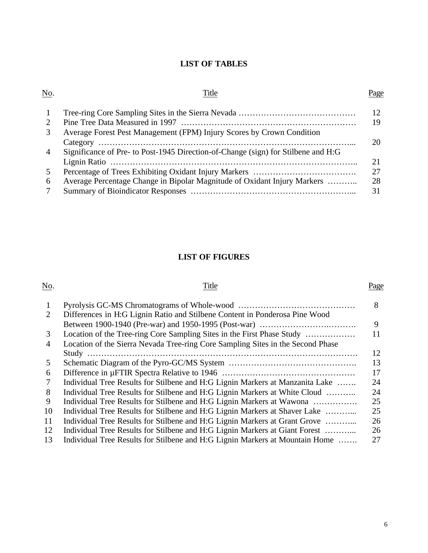# **LIST OF TABLES**

#### No. Page

| $\mathbf{1}$   |                                                                                   | 12<br>19 |
|----------------|-----------------------------------------------------------------------------------|----------|
| 3              | Average Forest Pest Management (FPM) Injury Scores by Crown Condition             |          |
|                |                                                                                   |          |
| $\overline{4}$ | Significance of Pre- to Post-1945 Direction-of-Change (sign) for Stilbene and H:G |          |
|                |                                                                                   | 21       |
| 5              |                                                                                   | 27       |
| 6              | Average Percentage Change in Bipolar Magnitude of Oxidant Injury Markers          | 28       |
|                |                                                                                   | 31       |

# **LIST OF FIGURES**

## No. Page

| -1 |                                                                                 | 8  |
|----|---------------------------------------------------------------------------------|----|
| 2  | Differences in H:G Lignin Ratio and Stilbene Content in Ponderosa Pine Wood     |    |
|    |                                                                                 | 9  |
| 3  |                                                                                 | 11 |
| 4  | Location of the Sierra Nevada Tree-ring Core Sampling Sites in the Second Phase |    |
|    |                                                                                 | 12 |
| 5  |                                                                                 | 13 |
| 6  |                                                                                 | 17 |
| 7  | Individual Tree Results for Stilbene and H:G Lignin Markers at Manzanita Lake   | 24 |
| 8  | Individual Tree Results for Stilbene and H:G Lignin Markers at White Cloud      | 24 |
| 9  | Individual Tree Results for Stilbene and H:G Lignin Markers at Wawona           | 25 |
| 10 | Individual Tree Results for Stilbene and H:G Lignin Markers at Shaver Lake      | 25 |
| 11 | Individual Tree Results for Stilbene and H:G Lignin Markers at Grant Grove      | 26 |
| 12 | Individual Tree Results for Stilbene and H:G Lignin Markers at Giant Forest     | 26 |
| 13 | Individual Tree Results for Stilbene and H:G Lignin Markers at Mountain Home    | 27 |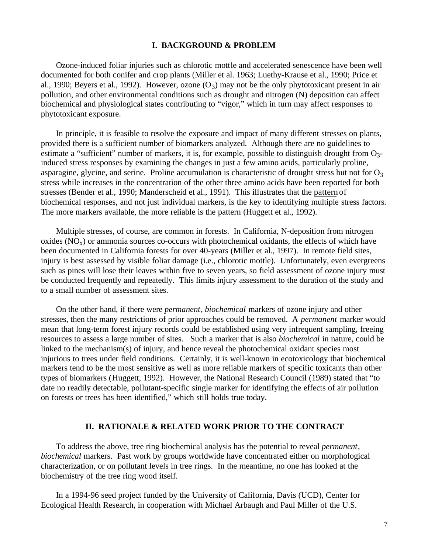#### **I. BACKGROUND & PROBLEM**

Ozone-induced foliar injuries such as chlorotic mottle and accelerated senescence have been well documented for both conifer and crop plants (Miller et al. 1963; Luethy-Krause et al., 1990; Price et al., 1990; Beyers et al., 1992). However, ozone  $(O_3)$  may not be the only phytotoxicant present in air pollution, and other environmental conditions such as drought and nitrogen (N) deposition can affect biochemical and physiological states contributing to "vigor," which in turn may affect responses to phytotoxicant exposure.

In principle, it is feasible to resolve the exposure and impact of many different stresses on plants, provided there is a sufficient number of biomarkers analyzed. Although there are no guidelines to estimate a "sufficient" number of markers, it is, for example, possible to distinguish drought from  $O_3$ induced stress responses by examining the changes in just a few amino acids, particularly proline, asparagine, glycine, and serine. Proline accumulation is characteristic of drought stress but not for  $O_3$ stress while increases in the concentration of the other three amino acids have been reported for both stresses (Bender et al., 1990; Manderscheid et al., 1991). This illustrates that the pattern of biochemical responses, and not just individual markers, is the key to identifying multiple stress factors. The more markers available, the more reliable is the pattern (Huggett et al., 1992).

Multiple stresses, of course, are common in forests. In California, N-deposition from nitrogen oxides  $(NO_x)$  or ammonia sources co-occurs with photochemical oxidants, the effects of which have been documented in California forests for over 40-years (Miller et al., 1997). In remote field sites, injury is best assessed by visible foliar damage (i.e., chlorotic mottle). Unfortunately, even evergreens such as pines will lose their leaves within five to seven years, so field assessment of ozone injury must be conducted frequently and repeatedly. This limits injury assessment to the duration of the study and to a small number of assessment sites.

On the other hand, if there were *permanent*, *biochemical* markers of ozone injury and other stresses, then the many restrictions of prior approaches could be removed. A *permanent* marker would mean that long-term forest injury records could be established using very infrequent sampling, freeing resources to assess a large number of sites. Such a marker that is also *biochemical* in nature, could be linked to the mechanism(s) of injury, and hence reveal the photochemical oxidant species most injurious to trees under field conditions. Certainly, it is well-known in ecotoxicology that biochemical markers tend to be the most sensitive as well as more reliable markers of specific toxicants than other types of biomarkers (Huggett, 1992). However, the National Research Council (1989) stated that "to date no readily detectable, pollutant-specific single marker for identifying the effects of air pollution on forests or trees has been identified," which still holds true today.

#### **II. RATIONALE & RELATED WORK PRIOR TO THE CONTRACT**

To address the above, tree ring biochemical analysis has the potential to reveal *permanent*, *biochemical* markers. Past work by groups worldwide have concentrated either on morphological characterization, or on pollutant levels in tree rings. In the meantime, no one has looked at the biochemistry of the tree ring wood itself.

In a 1994-96 seed project funded by the University of California, Davis (UCD), Center for Ecological Health Research, in cooperation with Michael Arbaugh and Paul Miller of the U.S.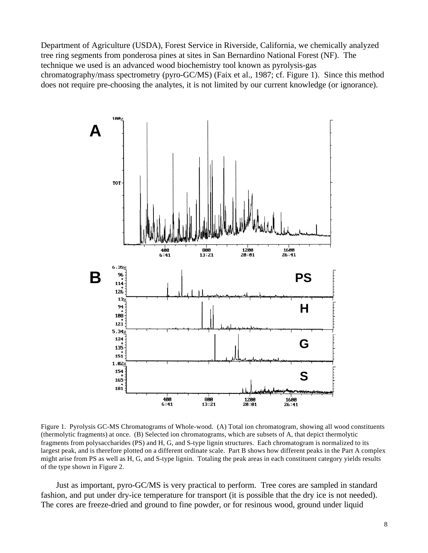Department of Agriculture (USDA), Forest Service in Riverside, California, we chemically analyzed tree ring segments from ponderosa pines at sites in San Bernardino National Forest (NF). The technique we used is an advanced wood biochemistry tool known as pyrolysis-gas chromatography/mass spectrometry (pyro-GC/MS) (Faix et al., 1987; cf. Figure 1). Since this method does not require pre-choosing the analytes, it is not limited by our current knowledge (or ignorance).



Figure 1. Pyrolysis GC-MS Chromatograms of Whole-wood. (A) Total ion chromatogram, showing all wood constituents (thermolytic fragments) at once. (B) Selected ion chromatograms, which are subsets of A, that depict thermolytic fragments from polysaccharides (PS) and H, G, and S-type lignin structures. Each chromatogram is normalized to its largest peak, and is therefore plotted on a different ordinate scale. Part B shows how different peaks in the Part A complex might arise from PS as well as H, G, and S-type lignin. Totaling the peak areas in each constituent category yields results of the type shown in Figure 2.

Just as important, pyro-GC/MS is very practical to perform. Tree cores are sampled in standard fashion, and put under dry-ice temperature for transport (it is possible that the dry ice is not needed). The cores are freeze-dried and ground to fine powder, or for resinous wood, ground under liquid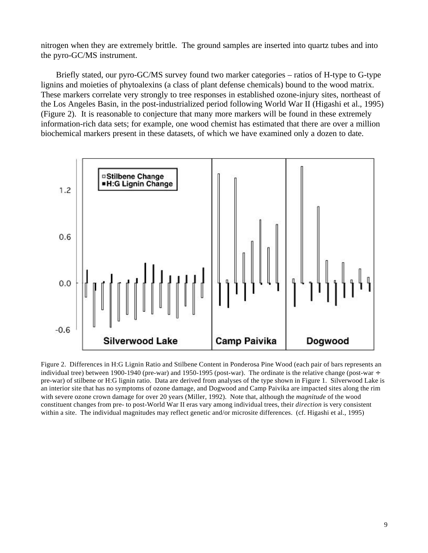nitrogen when they are extremely brittle. The ground samples are inserted into quartz tubes and into the pyro-GC/MS instrument.

Briefly stated, our pyro-GC/MS survey found two marker categories – ratios of H-type to G-type lignins and moieties of phytoalexins (a class of plant defense chemicals) bound to the wood matrix. These markers correlate very strongly to tree responses in established ozone-injury sites, northeast of the Los Angeles Basin, in the post-industrialized period following World War II (Higashi et al., 1995) (Figure 2). It is reasonable to conjecture that many more markers will be found in these extremely information-rich data sets; for example, one wood chemist has estimated that there are over a million biochemical markers present in these datasets, of which we have examined only a dozen to date.



Figure 2. Differences in H:G Lignin Ratio and Stilbene Content in Ponderosa Pine Wood (each pair of bars represents an individual tree) between 1900-1940 (pre-war) and 1950-1995 (post-war). The ordinate is the relative change (post-war  $\div$ pre-war) of stilbene or H:G lignin ratio. Data are derived from analyses of the type shown in Figure 1. Silverwood Lake is an interior site that has no symptoms of ozone damage, and Dogwood and Camp Paivika are impacted sites along the rim with severe ozone crown damage for over 20 years (Miller, 1992). Note that, although the *magnitude* of the wood constituent changes from pre- to post-World War II eras vary among individual trees, their *direction* is very consistent within a site. The individual magnitudes may reflect genetic and/or microsite differences. (cf. Higashi et al., 1995)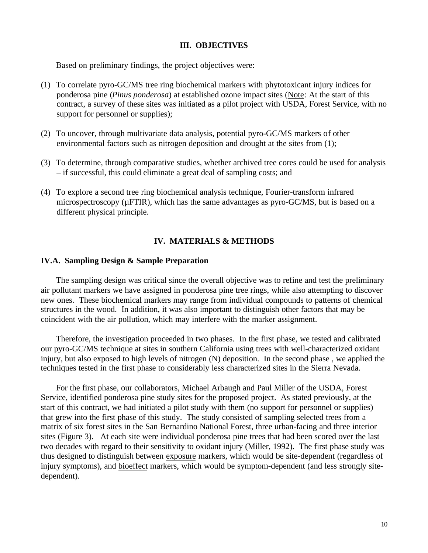#### **III. OBJECTIVES**

Based on preliminary findings, the project objectives were:

- (1) To correlate pyro-GC/MS tree ring biochemical markers with phytotoxicant injury indices for ponderosa pine (*Pinus ponderosa*) at established ozone impact sites (Note: At the start of this contract, a survey of these sites was initiated as a pilot project with USDA, Forest Service, with no support for personnel or supplies);
- (2) To uncover, through multivariate data analysis, potential pyro-GC/MS markers of other environmental factors such as nitrogen deposition and drought at the sites from (1);
- (3) To determine, through comparative studies, whether archived tree cores could be used for analysis – if successful, this could eliminate a great deal of sampling costs; and
- (4) To explore a second tree ring biochemical analysis technique, Fourier-transform infrared microspectroscopy (µFTIR), which has the same advantages as pyro-GC/MS, but is based on a different physical principle.

### **IV. MATERIALS & METHODS**

#### **IV.A. Sampling Design & Sample Preparation**

The sampling design was critical since the overall objective was to refine and test the preliminary air pollutant markers we have assigned in ponderosa pine tree rings, while also attempting to discover new ones. These biochemical markers may range from individual compounds to patterns of chemical structures in the wood. In addition, it was also important to distinguish other factors that may be coincident with the air pollution, which may interfere with the marker assignment.

Therefore, the investigation proceeded in two phases. In the first phase, we tested and calibrated our pyro-GC/MS technique at sites in southern California using trees with well-characterized oxidant injury, but also exposed to high levels of nitrogen (N) deposition. In the second phase , we applied the techniques tested in the first phase to considerably less characterized sites in the Sierra Nevada.

For the first phase, our collaborators, Michael Arbaugh and Paul Miller of the USDA, Forest Service, identified ponderosa pine study sites for the proposed project. As stated previously, at the start of this contract, we had initiated a pilot study with them (no support for personnel or supplies) that grew into the first phase of this study. The study consisted of sampling selected trees from a matrix of six forest sites in the San Bernardino National Forest, three urban-facing and three interior sites (Figure 3). At each site were individual ponderosa pine trees that had been scored over the last two decades with regard to their sensitivity to oxidant injury (Miller, 1992). The first phase study was thus designed to distinguish between exposure markers, which would be site-dependent (regardless of injury symptoms), and bioeffect markers, which would be symptom-dependent (and less strongly sitedependent).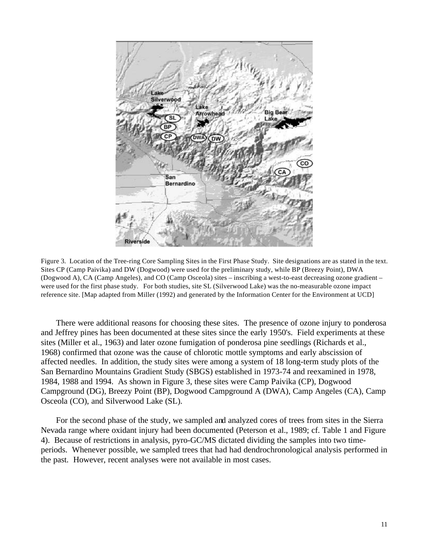

Figure 3. Location of the Tree-ring Core Sampling Sites in the First Phase Study. Site designations are as stated in the text. Sites CP (Camp Paivika) and DW (Dogwood) were used for the preliminary study, while BP (Breezy Point), DWA (Dogwood A), CA (Camp Angeles), and CO (Camp Osceola) sites – inscribing a west-to-east decreasing ozone gradient – were used for the first phase study. For both studies, site SL (Silverwood Lake) was the no-measurable ozone impact reference site. [Map adapted from Miller (1992) and generated by the Information Center for the Environment at UCD]

There were additional reasons for choosing these sites. The presence of ozone injury to ponderosa and Jeffrey pines has been documented at these sites since the early 1950's. Field experiments at these sites (Miller et al., 1963) and later ozone fumigation of ponderosa pine seedlings (Richards et al., 1968) confirmed that ozone was the cause of chlorotic mottle symptoms and early abscission of affected needles. In addition, the study sites were among a system of 18 long-term study plots of the San Bernardino Mountains Gradient Study (SBGS) established in 1973-74 and reexamined in 1978, 1984, 1988 and 1994. As shown in Figure 3, these sites were Camp Paivika (CP), Dogwood Campground (DG), Breezy Point (BP), Dogwood Campground A (DWA), Camp Angeles (CA), Camp Osceola (CO), and Silverwood Lake (SL).

For the second phase of the study, we sampled and analyzed cores of trees from sites in the Sierra Nevada range where oxidant injury had been documented (Peterson et al., 1989; cf. Table 1 and Figure 4). Because of restrictions in analysis, pyro-GC/MS dictated dividing the samples into two timeperiods. Whenever possible, we sampled trees that had had dendrochronological analysis performed in the past. However, recent analyses were not available in most cases.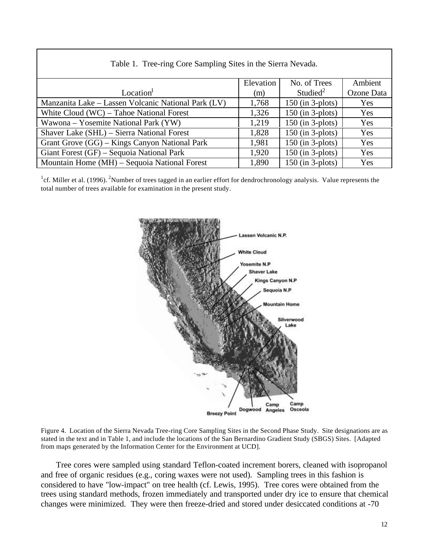| Table 1. Tree-ring Core Sampling Sites in the Sierra Nevada. |           |                      |            |  |  |  |  |  |
|--------------------------------------------------------------|-----------|----------------------|------------|--|--|--|--|--|
|                                                              | Elevation | No. of Trees         | Ambient    |  |  |  |  |  |
| Location                                                     | (m)       | Studied <sup>2</sup> | Ozone Data |  |  |  |  |  |
| Manzanita Lake – Lassen Volcanic National Park (LV)          | 1,768     | $150$ (in 3-plots)   | Yes        |  |  |  |  |  |
| White Cloud (WC) – Tahoe National Forest                     | 1,326     | $150$ (in 3-plots)   | Yes        |  |  |  |  |  |
| Wawona – Yosemite National Park (YW)                         | 1,219     | $150$ (in 3-plots)   | Yes        |  |  |  |  |  |
| Shaver Lake (SHL) - Sierra National Forest                   | 1,828     | $150$ (in 3-plots)   | Yes        |  |  |  |  |  |
| Grant Grove (GG) – Kings Canyon National Park                | 1,981     | $150$ (in 3-plots)   | Yes        |  |  |  |  |  |
| Giant Forest (GF) – Sequoia National Park                    | 1,920     | $150$ (in 3-plots)   | Yes        |  |  |  |  |  |
| Mountain Home (MH) – Sequoia National Forest                 | 1,890     | $150$ (in 3-plots)   | Yes        |  |  |  |  |  |

<sup>1</sup>cf. Miller et al. (1996). <sup>2</sup>Number of trees tagged in an earlier effort for dendrochronology analysis. Value represents the total number of trees available for examination in the present study.



Figure 4. Location of the Sierra Nevada Tree-ring Core Sampling Sites in the Second Phase Study. Site designations are as stated in the text and in Table 1, and include the locations of the San Bernardino Gradient Study (SBGS) Sites. [Adapted from maps generated by the Information Center for the Environment at UCD].

Tree cores were sampled using standard Teflon-coated increment borers, cleaned with isopropanol and free of organic residues (e.g., coring waxes were not used). Sampling trees in this fashion is considered to have "low-impact" on tree health (cf. Lewis, 1995). Tree cores were obtained from the trees using standard methods, frozen immediately and transported under dry ice to ensure that chemical changes were minimized. They were then freeze-dried and stored under desiccated conditions at -70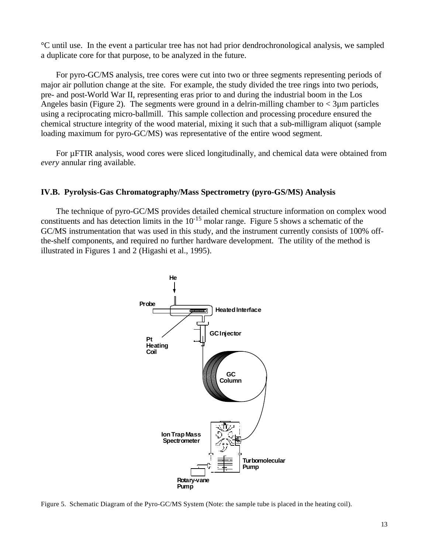°C until use. In the event a particular tree has not had prior dendrochronological analysis, we sampled a duplicate core for that purpose, to be analyzed in the future.

For pyro-GC/MS analysis, tree cores were cut into two or three segments representing periods of major air pollution change at the site. For example, the study divided the tree rings into two periods, pre- and post-World War II, representing eras prior to and during the industrial boom in the Los Angeles basin (Figure 2). The segments were ground in a delrin-milling chamber to  $\lt 3\mu$ m particles using a reciprocating micro-ballmill. This sample collection and processing procedure ensured the chemical structure integrity of the wood material, mixing it such that a sub-milligram aliquot (sample loading maximum for pyro-GC/MS) was representative of the entire wood segment.

For µFTIR analysis, wood cores were sliced longitudinally, and chemical data were obtained from *every* annular ring available.

### **IV.B. Pyrolysis-Gas Chromatography/Mass Spectrometry (pyro-GS/MS) Analysis**

The technique of pyro-GC/MS provides detailed chemical structure information on complex wood constituents and has detection limits in the  $10^{-15}$  molar range. Figure 5 shows a schematic of the GC/MS instrumentation that was used in this study, and the instrument currently consists of 100% offthe-shelf components, and required no further hardware development. The utility of the method is illustrated in Figures 1 and 2 (Higashi et al., 1995).



Figure 5. Schematic Diagram of the Pyro-GC/MS System (Note: the sample tube is placed in the heating coil).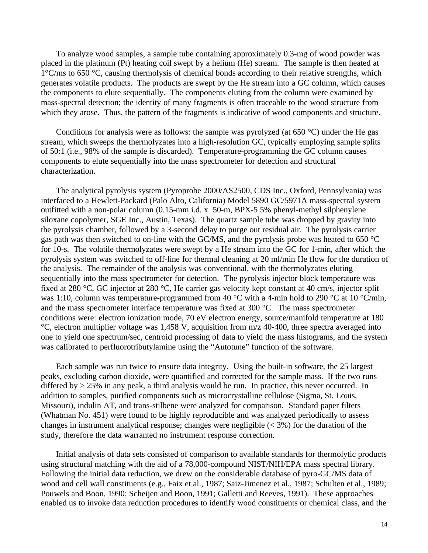To analyze wood samples, a sample tube containing approximately 0.3-mg of wood powder was placed in the platinum (Pt) heating coil swept by a helium (He) stream. The sample is then heated at  $1^{\circ}$ C/ms to 650  $^{\circ}$ C, causing thermolysis of chemical bonds according to their relative strengths, which generates volatile products. The products are swept by the He stream into a GC column, which causes the components to elute sequentially. The components eluting from the column were examined by mass-spectral detection; the identity of many fragments is often traceable to the wood structure from which they arose. Thus, the pattern of the fragments is indicative of wood components and structure.

Conditions for analysis were as follows: the sample was pyrolyzed (at  $650^{\circ}$ C) under the He gas stream, which sweeps the thermolyzates into a high-resolution GC, typically employing sample splits of 50:1 (i.e., 98% of the sample is discarded). Temperature-programming the GC column causes components to elute sequentially into the mass spectrometer for detection and structural characterization.

The analytical pyrolysis system (Pyroprobe 2000/AS2500, CDS Inc., Oxford, Pennsylvania) was interfaced to a Hewlett-Packard (Palo Alto, California) Model 5890 GC/5971A mass-spectral system outfitted with a non-polar column (0.15-mm i.d. x 50-m, BPX-5 5% phenyl-methyl silphenylene siloxane copolymer, SGE Inc., Austin, Texas). The quartz sample tube was dropped by gravity into the pyrolysis chamber, followed by a 3-second delay to purge out residual air. The pyrolysis carrier gas path was then switched to on-line with the GC/MS, and the pyrolysis probe was heated to 650 °C for 10-s. The volatile thermolyzates were swept by a He stream into the GC for 1-min, after which the pyrolysis system was switched to off-line for thermal cleaning at 20 ml/min He flow for the duration of the analysis. The remainder of the analysis was conventional, with the thermolyzates eluting sequentially into the mass spectrometer for detection. The pyrolysis injector block temperature was fixed at 280 °C, GC injector at 280 °C, He carrier gas velocity kept constant at 40 cm/s, injector split was 1:10, column was temperature-programmed from 40 °C with a 4-min hold to 290 °C at 10 °C/min, and the mass spectrometer interface temperature was fixed at 300 °C. The mass spectrometer conditions were: electron ionization mode, 70 eV electron energy, source/manifold temperature at 180 °C, electron multiplier voltage was 1,458 V, acquisition from m/z 40-400, three spectra averaged into one to yield one spectrum/sec, centroid processing of data to yield the mass histograms, and the system was calibrated to perfluorotributylamine using the "Autotune" function of the software.

Each sample was run twice to ensure data integrity. Using the built-in software, the 25 largest peaks, excluding carbon dioxide, were quantified and corrected for the sample mass. If the two runs differed by > 25% in any peak, a third analysis would be run. In practice, this never occurred. In addition to samples, purified components such as microcrystalline cellulose (Sigma, St. Louis, Missouri), indulin AT, and trans-stilbene were analyzed for comparison. Standard paper filters (Whatman No. 451) were found to be highly reproducible and was analyzed periodically to assess changes in instrument analytical response; changes were negligible  $( $3\%$ )$  for the duration of the study, therefore the data warranted no instrument response correction.

Initial analysis of data sets consisted of comparison to available standards for thermolytic products using structural matching with the aid of a 78,000-compound NIST/NIH/EPA mass spectral library. Following the initial data reduction, we drew on the considerable database of pyro-GC/MS data of wood and cell wall constituents (e.g., Faix et al., 1987; Saiz-Jimenez et al., 1987; Schulten et al., 1989; Pouwels and Boon, 1990; Scheijen and Boon, 1991; Galletti and Reeves, 1991). These approaches enabled us to invoke data reduction procedures to identify wood constituents or chemical class, and the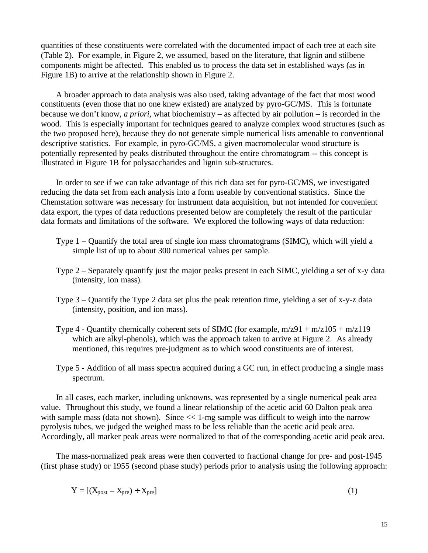quantities of these constituents were correlated with the documented impact of each tree at each site (Table 2). For example, in Figure 2, we assumed, based on the literature, that lignin and stilbene components might be affected. This enabled us to process the data set in established ways (as in Figure 1B) to arrive at the relationship shown in Figure 2.

A broader approach to data analysis was also used, taking advantage of the fact that most wood constituents (even those that no one knew existed) are analyzed by pyro-GC/MS. This is fortunate because we don't know, *a priori*, what biochemistry – as affected by air pollution – is recorded in the wood. This is especially important for techniques geared to analyze complex wood structures (such as the two proposed here), because they do not generate simple numerical lists amenable to conventional descriptive statistics. For example, in pyro-GC/MS, a given macromolecular wood structure is potentially represented by peaks distributed throughout the entire chromatogram -- this concept is illustrated in Figure 1B for polysaccharides and lignin sub-structures.

In order to see if we can take advantage of this rich data set for pyro-GC/MS, we investigated reducing the data set from each analysis into a form useable by conventional statistics. Since the Chemstation software was necessary for instrument data acquisition, but not intended for convenient data export, the types of data reductions presented below are completely the result of the particular data formats and limitations of the software. We explored the following ways of data reduction:

- Type 1 Quantify the total area of single ion mass chromatograms (SIMC), which will yield a simple list of up to about 300 numerical values per sample.
- Type 2 Separately quantify just the major peaks present in each SIMC, yielding a set of x-y data (intensity, ion mass).
- Type 3 Quantify the Type 2 data set plus the peak retention time, yielding a set of x-y-z data (intensity, position, and ion mass).
- Type 4 Quantify chemically coherent sets of SIMC (for example,  $m/z91 + m/z105 + m/z119$ ) which are alkyl-phenols), which was the approach taken to arrive at Figure 2. As already mentioned, this requires pre-judgment as to which wood constituents are of interest.
- Type 5 Addition of all mass spectra acquired during a GC run, in effect produc ing a single mass spectrum.

In all cases, each marker, including unknowns, was represented by a single numerical peak area value. Throughout this study, we found a linear relationship of the acetic acid 60 Dalton peak area with sample mass (data not shown). Since  $<< 1$ -mg sample was difficult to weigh into the narrow pyrolysis tubes, we judged the weighed mass to be less reliable than the acetic acid peak area. Accordingly, all marker peak areas were normalized to that of the corresponding acetic acid peak area.

The mass-normalized peak areas were then converted to fractional change for pre- and post-1945 (first phase study) or 1955 (second phase study) periods prior to analysis using the following approach:

$$
Y = [(X_{post} - X_{pre}) \div X_{pre}]
$$
 (1)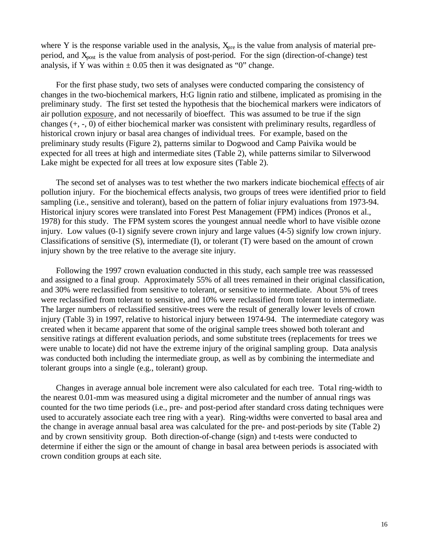where Y is the response variable used in the analysis,  $X<sub>pre</sub>$  is the value from analysis of material preperiod, and X<sub>post</sub> is the value from analysis of post-period. For the sign (direction-of-change) test analysis, if Y was within  $\pm 0.05$  then it was designated as "0" change.

For the first phase study, two sets of analyses were conducted comparing the consistency of changes in the two-biochemical markers, H:G lignin ratio and stilbene, implicated as promising in the preliminary study. The first set tested the hypothesis that the biochemical markers were indicators of air pollution exposure, and not necessarily of bioeffect. This was assumed to be true if the sign changes (+, -, 0) of either biochemical marker was consistent with preliminary results, regardless of historical crown injury or basal area changes of individual trees. For example, based on the preliminary study results (Figure 2), patterns similar to Dogwood and Camp Paivika would be expected for all trees at high and intermediate sites (Table 2), while patterns similar to Silverwood Lake might be expected for all trees at low exposure sites (Table 2).

The second set of analyses was to test whether the two markers indicate biochemical effects of air pollution injury. For the biochemical effects analysis, two groups of trees were identified prior to field sampling (i.e., sensitive and tolerant), based on the pattern of foliar injury evaluations from 1973-94. Historical injury scores were translated into Forest Pest Management (FPM) indices (Pronos et al., 1978) for this study. The FPM system scores the youngest annual needle whorl to have visible ozone injury. Low values (0-1) signify severe crown injury and large values (4-5) signify low crown injury. Classifications of sensitive (S), intermediate (I), or tolerant (T) were based on the amount of crown injury shown by the tree relative to the average site injury.

Following the 1997 crown evaluation conducted in this study, each sample tree was reassessed and assigned to a final group. Approximately 55% of all trees remained in their original classification, and 30% were reclassified from sensitive to tolerant, or sensitive to intermediate. About 5% of trees were reclassified from tolerant to sensitive, and 10% were reclassified from tolerant to intermediate. The larger numbers of reclassified sensitive-trees were the result of generally lower levels of crown injury (Table 3) in 1997, relative to historical injury between 1974-94. The intermediate category was created when it became apparent that some of the original sample trees showed both tolerant and sensitive ratings at different evaluation periods, and some substitute trees (replacements for trees we were unable to locate) did not have the extreme injury of the original sampling group. Data analysis was conducted both including the intermediate group, as well as by combining the intermediate and tolerant groups into a single (e.g., tolerant) group.

Changes in average annual bole increment were also calculated for each tree. Total ring-width to the nearest 0.01-mm was measured using a digital micrometer and the number of annual rings was counted for the two time periods (i.e., pre- and post-period after standard cross dating techniques were used to accurately associate each tree ring with a year). Ring-widths were converted to basal area and the change in average annual basal area was calculated for the pre- and post-periods by site (Table 2) and by crown sensitivity group. Both direction-of-change (sign) and t-tests were conducted to determine if either the sign or the amount of change in basal area between periods is associated with crown condition groups at each site.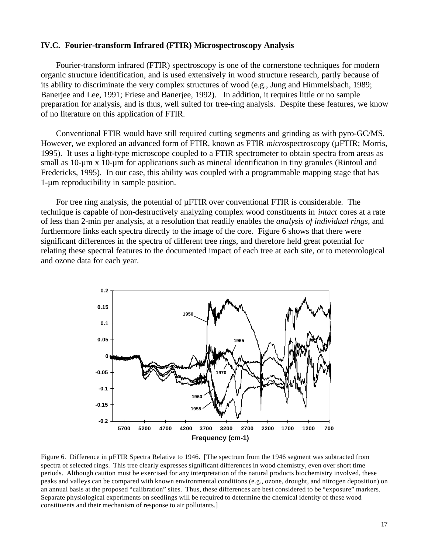#### **IV.C. Fourier-transform Infrared (FTIR) Microspectroscopy Analysis**

Fourier-transform infrared (FTIR) spectroscopy is one of the cornerstone techniques for modern organic structure identification, and is used extensively in wood structure research, partly because of its ability to discriminate the very complex structures of wood (e.g., Jung and Himmelsbach, 1989; Banerjee and Lee, 1991; Friese and Banerjee, 1992). In addition, it requires little or no sample preparation for analysis, and is thus, well suited for tree-ring analysis. Despite these features, we know of no literature on this application of FTIR.

Conventional FTIR would have still required cutting segments and grinding as with pyro-GC/MS. However, we explored an advanced form of FTIR, known as FTIR *microspectroscopy* ( $\mu$ FTIR; Morris, 1995). It uses a light-type microscope coupled to a FTIR spectrometer to obtain spectra from areas as small as 10-µm x 10-µm for applications such as mineral identification in tiny granules (Rintoul and Fredericks, 1995). In our case, this ability was coupled with a programmable mapping stage that has 1-µm reproducibility in sample position.

For tree ring analysis, the potential of µFTIR over conventional FTIR is considerable. The technique is capable of non-destructively analyzing complex wood constituents in *intact* cores at a rate of less than 2-min per analysis, at a resolution that readily enables the *analysis of individual rings,* and furthermore links each spectra directly to the image of the core. Figure 6 shows that there were significant differences in the spectra of different tree rings, and therefore held great potential for relating these spectral features to the documented impact of each tree at each site, or to meteorological and ozone data for each year.



Figure 6. Difference in µFTIR Spectra Relative to 1946. [The spectrum from the 1946 segment was subtracted from spectra of selected rings. This tree clearly expresses significant differences in wood chemistry, even over short time periods. Although caution must be exercised for any interpretation of the natural products biochemistry involved, these peaks and valleys can be compared with known environmental conditions (e.g., ozone, drought, and nitrogen deposition) on an annual basis at the proposed "calibration" sites. Thus, these differences are best considered to be "exposure" markers. Separate physiological experiments on seedlings will be required to determine the chemical identity of these wood constituents and their mechanism of response to air pollutants.]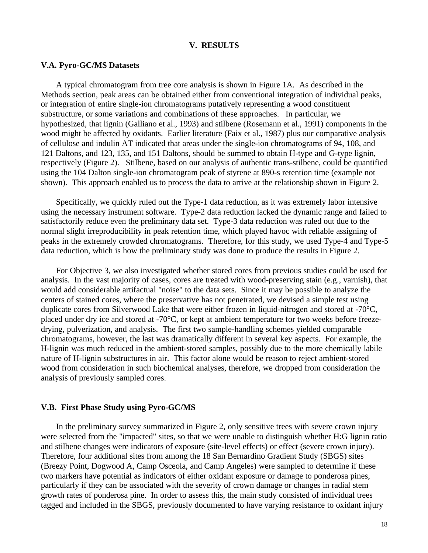#### **V. RESULTS**

#### **V.A. Pyro-GC/MS Datasets**

A typical chromatogram from tree core analysis is shown in Figure 1A. As described in the Methods section, peak areas can be obtained either from conventional integration of individual peaks, or integration of entire single-ion chromatograms putatively representing a wood constituent substructure, or some variations and combinations of these approaches. In particular, we hypothesized, that lignin (Galliano et al., 1993) and stilbene (Rosemann et al., 1991) components in the wood might be affected by oxidants. Earlier literature (Faix et al., 1987) plus our comparative analysis of cellulose and indulin AT indicated that areas under the single-ion chromatograms of 94, 108, and 121 Daltons, and 123, 135, and 151 Daltons, should be summed to obtain H-type and G-type lignin, respectively (Figure 2). Stilbene, based on our analysis of authentic trans-stilbene, could be quantified using the 104 Dalton single-ion chromatogram peak of styrene at 890-s retention time (example not shown). This approach enabled us to process the data to arrive at the relationship shown in Figure 2.

Specifically, we quickly ruled out the Type-1 data reduction, as it was extremely labor intensive using the necessary instrument software. Type-2 data reduction lacked the dynamic range and failed to satisfactorily reduce even the preliminary data set. Type-3 data reduction was ruled out due to the normal slight irreproducibility in peak retention time, which played havoc with reliable assigning of peaks in the extremely crowded chromatograms. Therefore, for this study, we used Type-4 and Type-5 data reduction, which is how the preliminary study was done to produce the results in Figure 2.

For Objective 3, we also investigated whether stored cores from previous studies could be used for analysis. In the vast majority of cases, cores are treated with wood-preserving stain (e.g., varnish), that would add considerable artifactual "noise" to the data sets. Since it may be possible to analyze the centers of stained cores, where the preservative has not penetrated, we devised a simple test using duplicate cores from Silverwood Lake that were either frozen in liquid-nitrogen and stored at -70°C, placed under dry ice and stored at -70°C, or kept at ambient temperature for two weeks before freezedrying, pulverization, and analysis. The first two sample-handling schemes yielded comparable chromatograms, however, the last was dramatically different in several key aspects. For example, the H-lignin was much reduced in the ambient-stored samples, possibly due to the more chemically labile nature of H-lignin substructures in air. This factor alone would be reason to reject ambient-stored wood from consideration in such biochemical analyses, therefore, we dropped from consideration the analysis of previously sampled cores.

#### **V.B. First Phase Study using Pyro-GC/MS**

In the preliminary survey summarized in Figure 2, only sensitive trees with severe crown injury were selected from the "impacted" sites, so that we were unable to distinguish whether H:G lignin ratio and stilbene changes were indicators of exposure (site-level effects) or effect (severe crown injury). Therefore, four additional sites from among the 18 San Bernardino Gradient Study (SBGS) sites (Breezy Point, Dogwood A, Camp Osceola, and Camp Angeles) were sampled to determine if these two markers have potential as indicators of either oxidant exposure or damage to ponderosa pines, particularly if they can be associated with the severity of crown damage or changes in radial stem growth rates of ponderosa pine. In order to assess this, the main study consisted of individual trees tagged and included in the SBGS, previously documented to have varying resistance to oxidant injury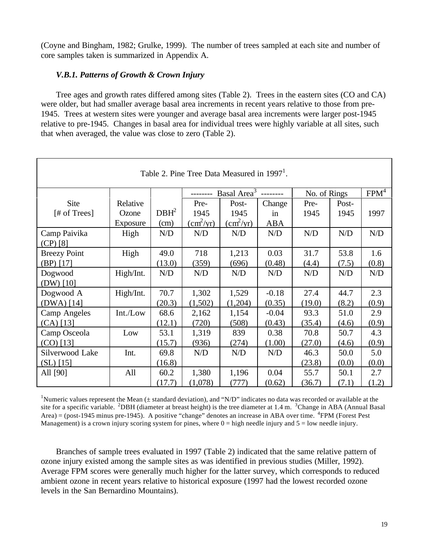(Coyne and Bingham, 1982; Grulke, 1999). The number of trees sampled at each site and number of core samples taken is summarized in Appendix A.

### *V.B.1. Patterns of Growth & Crown Injury*

Tree ages and growth rates differed among sites (Table 2). Trees in the eastern sites (CO and CA) were older, but had smaller average basal area increments in recent years relative to those from pre-1945. Trees at western sites were younger and average basal area increments were larger post-1945 relative to pre-1945. Changes in basal area for individual trees were highly variable at all sites, such that when averaged, the value was close to zero (Table 2).

| Table 2. Pine Tree Data Measured in $19971$ . |           |                  |                           |                           |            |              |       |                  |
|-----------------------------------------------|-----------|------------------|---------------------------|---------------------------|------------|--------------|-------|------------------|
|                                               |           |                  |                           | Basal Area <sup>3</sup>   |            | No. of Rings |       | FPM <sup>4</sup> |
| Site                                          | Relative  |                  | Pre-                      | Post-                     | Change     | Pre-         | Post- |                  |
| [# of Trees]                                  | Ozone     | DBH <sup>2</sup> | 1945                      | 1945                      | in         | 1945         | 1945  | 1997             |
|                                               | Exposure  | (cm)             | $\text{(cm}^2/\text{yr})$ | $\text{(cm}^2/\text{yr})$ | <b>ABA</b> |              |       |                  |
| Camp Paivika                                  | High      | N/D              | N/D                       | N/D                       | N/D        | N/D          | N/D   | N/D              |
| $(CP)$ [8]                                    |           |                  |                           |                           |            |              |       |                  |
| <b>Breezy Point</b>                           | High      | 49.0             | 718                       | 1,213                     | 0.03       | 31.7         | 53.8  | 1.6              |
| $(BP)$ [17]                                   |           | (13.0)           | (359)                     | (696)                     | (0.48)     | (4.4)        | (7.5) | (0.8)            |
| Dogwood                                       | High/Int. | N/D              | N/D                       | N/D                       | N/D        | N/D          | N/D   | N/D              |
| $(DW)$ [10]                                   |           |                  |                           |                           |            |              |       |                  |
| Dogwood A                                     | High/Int. | 70.7             | 1,302                     | 1,529                     | $-0.18$    | 27.4         | 44.7  | 2.3              |
| $(DWA)$ [14]                                  |           | (20.3)           | (1,502)                   | (1,204)                   | (0.35)     | (19.0)       | (8.2) | (0.9)            |
| <b>Camp Angeles</b>                           | Int./Low  | 68.6             | 2,162                     | 1,154                     | $-0.04$    | 93.3         | 51.0  | 2.9              |
| $(CA)$ [13]                                   |           | (12.1)           | (720)                     | (508)                     | (0.43)     | (35.4)       | (4.6) | (0.9)            |
| Camp Osceola                                  | Low       | 53.1             | 1,319                     | 839                       | 0.38       | 70.8         | 50.7  | 4.3              |
| $(CO)$ [13]                                   |           | (15.7)           | (936)                     | (274)                     | (1.00)     | (27.0)       | (4.6) | (0.9)            |
| Silverwood Lake                               | Int.      | 69.8             | N/D                       | N/D                       | N/D        | 46.3         | 50.0  | 5.0              |
| $(SL)$ [15]                                   |           | (16.8)           |                           |                           |            | (23.8)       | (0.0) | (0.0)            |
| All [90]                                      | All       | 60.2             | 1,380                     | 1,196                     | 0.04       | 55.7         | 50.1  | 2.7              |
|                                               |           | (17.7)           | (1,078)                   | (777)                     | (0.62)     | (36.7)       | (7.1) | (1.2)            |

<sup>1</sup>Numeric values represent the Mean ( $\pm$  standard deviation), and "N/D" indicates no data was recorded or available at the site for a specific variable. <sup>2</sup>DBH (diameter at breast height) is the tree diameter at 1.4 m.  $3$ Change in ABA (Annual Basal Area) = (post-1945 minus pre-1945). A positive "change" denotes an increase in ABA over time.  ${}^{4}$ FPM (Forest Pest Management) is a crown injury scoring system for pines, where  $0 =$  high needle injury and  $5 =$  low needle injury.

Branches of sample trees evaluated in 1997 (Table 2) indicated that the same relative pattern of ozone injury existed among the sample sites as was identified in previous studies (Miller, 1992). Average FPM scores were generally much higher for the latter survey, which corresponds to reduced ambient ozone in recent years relative to historical exposure (1997 had the lowest recorded ozone levels in the San Bernardino Mountains).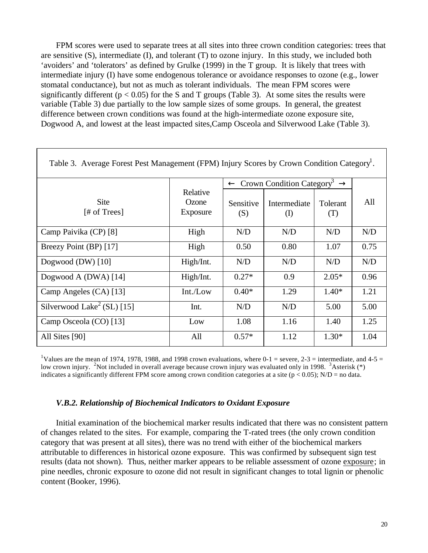FPM scores were used to separate trees at all sites into three crown condition categories: trees that are sensitive  $(S)$ , intermediate  $(I)$ , and tolerant  $(T)$  to ozone injury. In this study, we included both 'avoiders' and 'tolerators' as defined by Grulke (1999) in the T group. It is likely that trees with intermediate injury (I) have some endogenous tolerance or avoidance responses to ozone (e.g., lower stomatal conductance), but not as much as tolerant individuals. The mean FPM scores were significantly different ( $p < 0.05$ ) for the S and T groups (Table 3). At some sites the results were variable (Table 3) due partially to the low sample sizes of some groups. In general, the greatest difference between crown conditions was found at the high-intermediate ozone exposure site, Dogwood A, and lowest at the least impacted sites,Camp Osceola and Silverwood Lake (Table 3).

| Table 3. Average Forest Pest Management (FPM) Injury Scores by Crown Condition Category <sup>1</sup> . |                               |                  |                                                     |                 |      |  |  |  |
|--------------------------------------------------------------------------------------------------------|-------------------------------|------------------|-----------------------------------------------------|-----------------|------|--|--|--|
|                                                                                                        |                               | $\leftarrow$     | Crown Condition Category <sup>3</sup> $\rightarrow$ |                 |      |  |  |  |
| <b>Site</b><br>[# of Trees]                                                                            | Relative<br>Ozone<br>Exposure | Sensitive<br>(S) | Intermediate<br>$\rm _{(l)}$                        | Tolerant<br>(1) | All  |  |  |  |
| Camp Paivika (CP) [8]                                                                                  | High                          | N/D              | N/D                                                 | N/D             | N/D  |  |  |  |
| Breezy Point (BP) [17]                                                                                 | High                          | 0.50             | 0.80                                                | 1.07            | 0.75 |  |  |  |
| Dogwood $(DW)$ [10]                                                                                    | High/Int.                     | N/D              | N/D                                                 | N/D             | N/D  |  |  |  |
| Dogwood A (DWA) [14]                                                                                   | High/Int.                     | $0.27*$          | 0.9                                                 | $2.05*$         | 0.96 |  |  |  |
| Camp Angeles (CA) [13]                                                                                 | Int./Low                      | $0.40*$          | 1.29                                                | $1.40*$         | 1.21 |  |  |  |
| Silverwood Lake <sup>2</sup> (SL) [15]                                                                 | Int.                          | N/D              | N/D                                                 | 5.00            | 5.00 |  |  |  |
| Camp Osceola (CO) [13]                                                                                 | Low                           | 1.08             | 1.16                                                | 1.40            | 1.25 |  |  |  |
| All Sites [90]                                                                                         | All                           | $0.57*$          | 1.12                                                | $1.30*$         | 1.04 |  |  |  |

<sup>1</sup>Values are the mean of 1974, 1978, 1988, and 1998 crown evaluations, where 0-1 = severe, 2-3 = intermediate, and 4-5 = low crown injury. <sup>2</sup>Not included in overall average because crown injury was evaluated only in 1998. <sup>3</sup>Asterisk (\*) indicates a significantly different FPM score among crown condition categories at a site ( $p < 0.05$ ); N/D = no data.

### *V.B.2. Relationship of Biochemical Indicators to Oxidant Exposure*

Initial examination of the biochemical marker results indicated that there was no consistent pattern of changes related to the sites. For example, comparing the T-rated trees (the only crown condition category that was present at all sites), there was no trend with either of the biochemical markers attributable to differences in historical ozone exposure. This was confirmed by subsequent sign test results (data not shown). Thus, neither marker appears to be reliable assessment of ozone exposure; in pine needles, chronic exposure to ozone did not result in significant changes to total lignin or phenolic content (Booker, 1996).

┑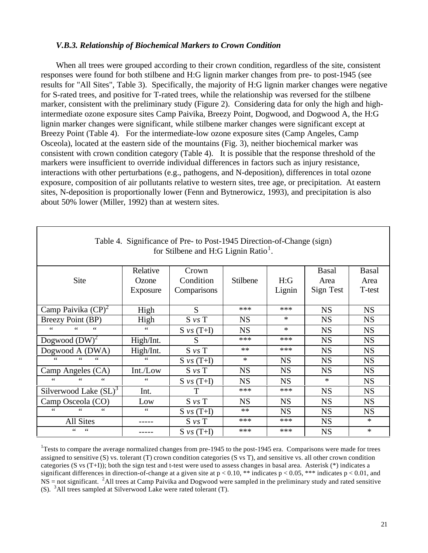#### *V.B.3. Relationship of Biochemical Markers to Crown Condition*

When all trees were grouped according to their crown condition, regardless of the site, consistent responses were found for both stilbene and H:G lignin marker changes from pre- to post-1945 (see results for "All Sites", Table 3). Specifically, the majority of H:G lignin marker changes were negative for S-rated trees, and positive for T-rated trees, while the relationship was reversed for the stilbene marker, consistent with the preliminary study (Figure 2). Considering data for only the high and highintermediate ozone exposure sites Camp Paivika, Breezy Point, Dogwood, and Dogwood A, the H:G lignin marker changes were significant, while stilbene marker changes were significant except at Breezy Point (Table 4). For the intermediate-low ozone exposure sites (Camp Angeles, Camp Osceola), located at the eastern side of the mountains (Fig. 3), neither biochemical marker was consistent with crown condition category (Table 4). It is possible that the response threshold of the markers were insufficient to override individual differences in factors such as injury resistance, interactions with other perturbations (e.g., pathogens, and N-deposition), differences in total ozone exposure, composition of air pollutants relative to western sites, tree age, or precipitation. At eastern sites, N-deposition is proportionally lower (Fenn and Bytnerowicz, 1993), and precipitation is also about 50% lower (Miller, 1992) than at western sites.

| Table 4. Significance of Pre- to Post-1945 Direction-of-Change (sign)<br>for Stilbene and H:G Lignin Ratio <sup>1</sup> . |                 |                 |           |           |              |              |  |  |
|---------------------------------------------------------------------------------------------------------------------------|-----------------|-----------------|-----------|-----------|--------------|--------------|--|--|
|                                                                                                                           | Relative        | Crown           |           |           | <b>Basal</b> | <b>Basal</b> |  |  |
| Site                                                                                                                      | Ozone           | Condition       | Stilbene  | H:G       | Area         | Area         |  |  |
|                                                                                                                           | Exposure        | Comparisons     |           | Lignin    | Sign Test    | T-test       |  |  |
|                                                                                                                           |                 |                 |           |           |              |              |  |  |
| Camp Paivika $(CP)^2$                                                                                                     | High            | S               | ***       | ***       | <b>NS</b>    | <b>NS</b>    |  |  |
| Breezy Point (BP)                                                                                                         | High            | $S$ $\nu s$ $T$ | <b>NS</b> | $\ast$    | <b>NS</b>    | <b>NS</b>    |  |  |
| 66<br>66<br>66                                                                                                            | $\zeta$ $\zeta$ | $S \nu s$ (T+I) | <b>NS</b> | $\ast$    | <b>NS</b>    | <b>NS</b>    |  |  |
| Dogwood $(DW)^2$                                                                                                          | High/Int.       | S               | ***       | ***       | <b>NS</b>    | <b>NS</b>    |  |  |
| Dogwood A (DWA)                                                                                                           | High/Int.       | $S$ $\nu s$ $T$ | $**$      | ***       | <b>NS</b>    | <b>NS</b>    |  |  |
| $\leq$<br>66<br>66                                                                                                        | $\zeta$ $\zeta$ | $S \nu s$ (T+I) | $\ast$    | <b>NS</b> | <b>NS</b>    | <b>NS</b>    |  |  |
| Camp Angeles (CA)                                                                                                         | Int./Low        | $S$ vs $T$      | <b>NS</b> | <b>NS</b> | <b>NS</b>    | <b>NS</b>    |  |  |
| 66<br>66<br>66                                                                                                            | $\zeta$ $\zeta$ | $S \nu s$ (T+I) | <b>NS</b> | <b>NS</b> | $\ast$       | <b>NS</b>    |  |  |
| Silverwood Lake $(SL)^3$                                                                                                  | Int.            | T               | ***       | ***       | <b>NS</b>    | <b>NS</b>    |  |  |
| Camp Osceola (CO)                                                                                                         | Low             | $S$ $\nu s$ $T$ | <b>NS</b> | <b>NS</b> | <b>NS</b>    | <b>NS</b>    |  |  |
| 66<br>66<br>66                                                                                                            | 66              | $S \nu s$ (T+I) | $**$      | <b>NS</b> | <b>NS</b>    | <b>NS</b>    |  |  |
| All Sites                                                                                                                 |                 | $S$ vs $T$      | ***       | ***       | <b>NS</b>    | $\ast$       |  |  |
| 66<br>44                                                                                                                  |                 | $S \nu s$ (T+I) | ***       | ***       | <b>NS</b>    | $\ast$       |  |  |

<sup>1</sup>Tests to compare the average normalized changes from pre-1945 to the post-1945 era. Comparisons were made for trees assigned to sensitive (S) vs. tolerant (T) crown condition categories (S vs T), and sensitive vs. all other crown condition categories (S vs  $(T+I)$ ); both the sign test and t-test were used to assess changes in basal area. Asterisk  $(*)$  indicates a significant differences in direction-of-change at a given site at  $p < 0.10$ , \*\* indicates  $p < 0.05$ , \*\*\* indicates  $p < 0.01$ , and  $NS =$  not significant. <sup>2</sup>All trees at Camp Paivika and Dogwood were sampled in the preliminary study and rated sensitive (S). <sup>3</sup> All trees sampled at Silverwood Lake were rated tolerant (T).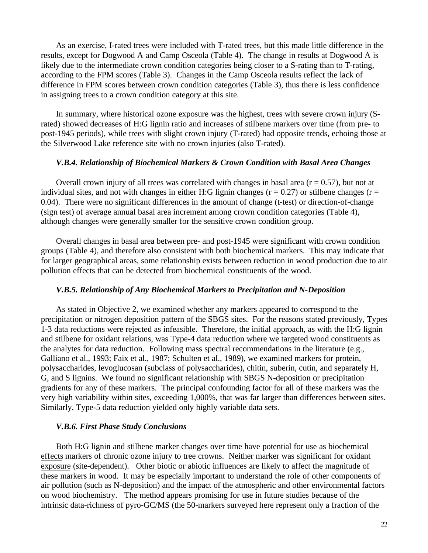As an exercise, I-rated trees were included with T-rated trees, but this made little difference in the results, except for Dogwood A and Camp Osceola (Table 4). The change in results at Dogwood A is likely due to the intermediate crown condition categories being closer to a S-rating than to T-rating, according to the FPM scores (Table 3). Changes in the Camp Osceola results reflect the lack of difference in FPM scores between crown condition categories (Table 3), thus there is less confidence in assigning trees to a crown condition category at this site.

In summary, where historical ozone exposure was the highest, trees with severe crown injury (Srated) showed decreases of H:G lignin ratio and increases of stilbene markers over time (from pre- to post-1945 periods), while trees with slight crown injury (T-rated) had opposite trends, echoing those at the Silverwood Lake reference site with no crown injuries (also T-rated).

#### *V.B.4. Relationship of Biochemical Markers & Crown Condition with Basal Area Changes*

Overall crown injury of all trees was correlated with changes in basal area  $(r = 0.57)$ , but not at individual sites, and not with changes in either H:G lignin changes ( $r = 0.27$ ) or stilbene changes ( $r =$ 0.04). There were no significant differences in the amount of change (t-test) or direction-of-change (sign test) of average annual basal area increment among crown condition categories (Table 4), although changes were generally smaller for the sensitive crown condition group.

Overall changes in basal area between pre- and post-1945 were significant with crown condition groups (Table 4), and therefore also consistent with both biochemical markers. This may indicate that for larger geographical areas, some relationship exists between reduction in wood production due to air pollution effects that can be detected from biochemical constituents of the wood.

#### *V.B.5. Relationship of Any Biochemical Markers to Precipitation and N-Deposition*

As stated in Objective 2, we examined whether any markers appeared to correspond to the precipitation or nitrogen deposition pattern of the SBGS sites. For the reasons stated previously, Types 1-3 data reductions were rejected as infeasible. Therefore, the initial approach, as with the H:G lignin and stilbene for oxidant relations, was Type-4 data reduction where we targeted wood constituents as the analytes for data reduction. Following mass spectral recommendations in the literature (e.g., Galliano et al., 1993; Faix et al., 1987; Schulten et al., 1989), we examined markers for protein, polysaccharides, levoglucosan (subclass of polysaccharides), chitin, suberin, cutin, and separately H, G, and S lignins. We found no significant relationship with SBGS N-deposition or precipitation gradients for any of these markers. The principal confounding factor for all of these markers was the very high variability within sites, exceeding 1,000%, that was far larger than differences between sites. Similarly, Type-5 data reduction yielded only highly variable data sets.

#### *V.B.6. First Phase Study Conclusions*

Both H:G lignin and stilbene marker changes over time have potential for use as biochemical effects markers of chronic ozone injury to tree crowns. Neither marker was significant for oxidant exposure (site-dependent). Other biotic or abiotic influences are likely to affect the magnitude of these markers in wood. It may be especially important to understand the role of other components of air pollution (such as N-deposition) and the impact of the atmospheric and other environmental factors on wood biochemistry. The method appears promising for use in future studies because of the intrinsic data-richness of pyro-GC/MS (the 50-markers surveyed here represent only a fraction of the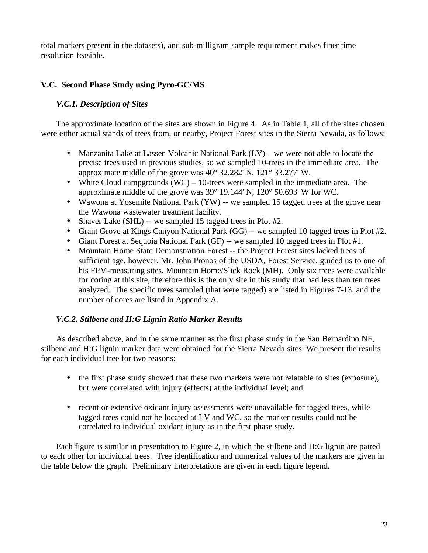total markers present in the datasets), and sub-milligram sample requirement makes finer time resolution feasible.

# **V.C. Second Phase Study using Pyro-GC/MS**

# *V.C.1. Description of Sites*

The approximate location of the sites are shown in Figure 4. As in Table 1, all of the sites chosen were either actual stands of trees from, or nearby, Project Forest sites in the Sierra Nevada, as follows:

- Manzanita Lake at Lassen Volcanic National Park  $(LV)$  we were not able to locate the precise trees used in previous studies, so we sampled 10-trees in the immediate area. The approximate middle of the grove was 40° 32.282' N, 121° 33.277' W.
- White Cloud campgrounds  $(WC) 10$ -trees were sampled in the immediate area. The approximate middle of the grove was 39° 19.144' N, 120° 50.693' W for WC.
- Wawona at Yosemite National Park (YW) -- we sampled 15 tagged trees at the grove near the Wawona wastewater treatment facility.
- Shaver Lake (SHL) -- we sampled 15 tagged trees in Plot #2.
- Grant Grove at Kings Canyon National Park (GG) -- we sampled 10 tagged trees in Plot #2.
- Giant Forest at Sequoia National Park (GF) -- we sampled 10 tagged trees in Plot #1.
- · Mountain Home State Demonstration Forest -- the Project Forest sites lacked trees of sufficient age, however, Mr. John Pronos of the USDA, Forest Service, guided us to one of his FPM-measuring sites, Mountain Home/Slick Rock (MH). Only six trees were available for coring at this site, therefore this is the only site in this study that had less than ten trees analyzed. The specific trees sampled (that were tagged) are listed in Figures 7-13, and the number of cores are listed in Appendix A.

# *V.C.2. Stilbene and H:G Lignin Ratio Marker Results*

As described above, and in the same manner as the first phase study in the San Bernardino NF, stilbene and H:G lignin marker data were obtained for the Sierra Nevada sites. We present the results for each individual tree for two reasons:

- the first phase study showed that these two markers were not relatable to sites (exposure), but were correlated with injury (effects) at the individual level; and
- recent or extensive oxidant injury assessments were unavailable for tagged trees, while tagged trees could not be located at LV and WC, so the marker results could not be correlated to individual oxidant injury as in the first phase study.

Each figure is similar in presentation to Figure 2, in which the stilbene and H:G lignin are paired to each other for individual trees. Tree identification and numerical values of the markers are given in the table below the graph. Preliminary interpretations are given in each figure legend.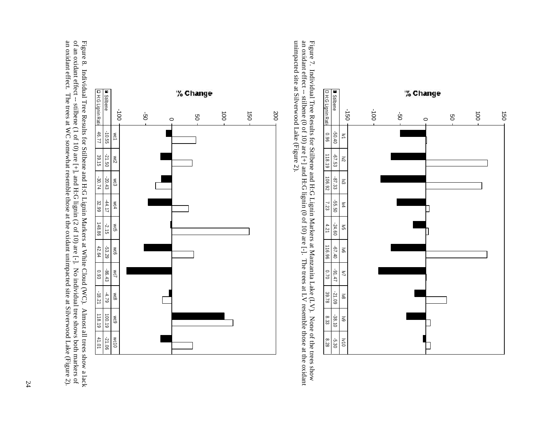of an oxidant effect -- stilbene (1 of 10) are  $[+]$ , and H:G lignin (2 of 10) are  $[-]$ . No individual tree shows both markers of an oxidant effect. The trees at WC somewhat resemble those at the oxidant unimpacted site at Figure 8. Individual Tree Results for Stilbene and H:G Lignin Markers at White Cloud (WC). Almost all trees show a lack an oxidant effect. The trees at WC somewhat resemble those at the oxidant unimpacted site at Silverwood Lake (Figure 2). of an oxidant effect -- stilbene (1 of 10) are [+], and H:G lignin (2 of 10) are [-]. No individual tree shows both markers of Figure 8. Individual Tree Results for Stilbene and H:G Lignin Markers at White Cloud (WC). Almost all trees show a lack

Stilbene -10.55 -21.50 -20.43 -44.17 -4.17 -4.17 -4.79 -2.15 -4.79 -2.19 -2.19 -2.19 -2.19 -2.19 -21. H:G Lignin Ratio 46.77 39.15 -30.74 32.99 148.86 42.64 0.93 -18.21 118.19 41.01

 $-2.15$ <br>148.86

 $-53.29$ <br>42.64

 $-86.43$ 

 $-4.79$ <br>-18.21

 $100.19$ 

 $-21.06$ 

 $-10.55$ 

 $-21.50$ <br>39.15





unimpacted site at Silverwood Lake (Figure 2). an oxidant effect -- stilbene (0 of 10) are [+] and H:G lignin (0 of 10) are [-]. The trees at LV resemble those at the oxidant Figure 7. Individual Tree Results for Stilbene and H:G Lignin Markers at Manzanita Lake (LV). None of the trees show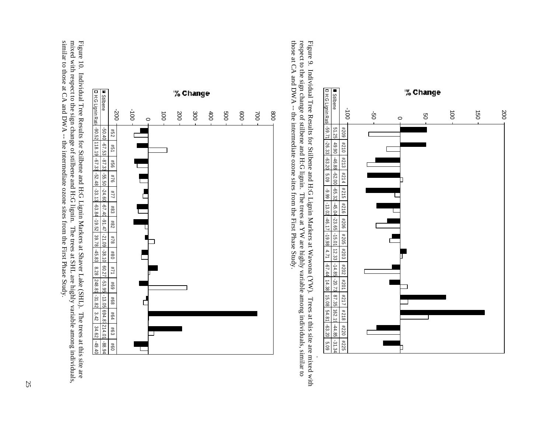mixed with respect to the sign change of stilbene and H:G lignin. The trees at SHL are highly variable among individuals,<br>similar to those at CA and DWA -- the intermediate ozone sites from the First Phase Study. Figure 10. Individual Tree Results for Stilbene and H:G Lignin Markers at Shaver Lake (SHL). The trees at this site are similar to those at CA and DWA -- the intermediate ozone sites from the First Phase Study. mixed with respect to the sign change of stilbene and H:G lignin. The trees at SHL are highly variable among individuals, Figure 10. Individual Tree Results for Stilbene and H:G Lignin Markers at Shaver Lake (SHL). The trees at this site are



those at CA and DWA -- the intermediate ozone sites from the First Phase Study. respect to the sign change of stilbene and H:G lignin. The trees at YW are highly variable among individuals, similar to Figure 9. Individual Tree Results for Stilbene and H:G Lignin Markers at Wawona (YW). Trees at this site are mixed with Trees at this site are mixed with .

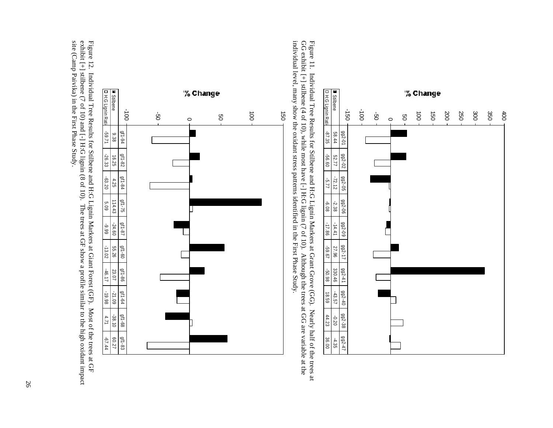

26



-100

 $41 - 94$ 

 $9f1-82$ 16.25

**B** Stilbene<br>**D** H:G Lignin Rati

 $12.933$ <br>82.9

Stilbene 1 9.38 1 9.25 1 4.25 114.43 -24.60 55.26 23.07 -21.09 -38.10 -38.10 -38.10 -21.09 -21.09 -2 H:G Lignin Ratio -59.71 -26.33 -45.20 -46.17 -14.20.20 -46.17 -46.12 -40.17 -40.198 -46.17 -46.144

 $\begin{array}{r}\n 66.6 \\
\hline\n 09.45 \\
\hline\n 19.116\n \end{array}$ 

 $\frac{9f1-60}{55.26}$ 

 $\frac{9f1-86}{23.07}$ 

 $\begin{array}{r} 86.91 - \\ 80.15 - \\ 9.110 \end{array}$ 

 $-38.10$ 

 $\frac{9f1-83}{f0.27}$ 

gf1-68

 $\frac{9f1-75}{114.43}$ 

 $\frac{9f1-84}{4.25}$ 

gf1-94 gf1-82 gf1-84 gf1-75 gf1-87 gf1-60 gf1-86 gf1-64 gf1-68 gf1-83

-50

 $\circ$ 

50

100

150



individual level, many show the oxidant stress patterns identified in the First Phase Study. GG exhibit [+] stilbene (4 of 10), while most have [-] H:G lignin (7 of 10). Although the trees at GG are variable at the Figure 11. Individual Tree Results for Stilbene and H:G Lignin Markers at Grant Grove (GG). Nearly half of the trees at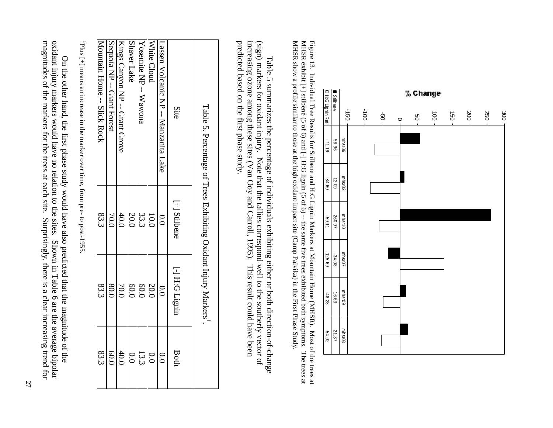

MHSR show a profile similar to those at the high oxidant impact site (Camp Paivika) in the First Phase Study, MHSR exhibit  $[+]$  stilbene (5 of 6) and  $[.]$  H:G lignin (5 of 6)  $-$  the same five trees exhibited both symptoms. The trees at Figure 13. Individual Tree Results for Stilbene and H:G Lignin Markers at Mountain Home (MHSR). Most of the trees at MHSR show a profile similar to those at the high oxidant impact site (Camp Paivika) in the First Phase Study.  $MHSR$  exhibit [+] stilbene (5 of 6) and [-] H:G lignin (5 of 6) -- the same five trees exhibited both symptoms. The trees at Figure 13. Individual Tree Results for Stilbene and H:G Lignin Markers at Mountain Home (MHSR). Most of the trees at

predicted based on the first phase study. increasing ozone among these sites (Van Ooy and Carroll, 1995). This result could have been (sign) markers for oxidant injury. Note that the tallies correspond well to the southerly vector of predicted based on the first phase study. increasing ozone among these sites (Van Ooy and Carroll, 1995). This result could have been (sign) markers for oxidant injury. Note that the tallies correspond well to the southerly vector of Table 5 summarizes the percentage of individuals exhibiting either or both direction-of-change Table 5 summarizes the percentage of individuals exhibiting either or both direction-of-change

| Table 5. Percentage of Trees Exhibiting Oxidant Injury Markers'  |                 |                |                 |
|------------------------------------------------------------------|-----------------|----------------|-----------------|
| Site                                                             | [+] Stilbene    | [-] H:G Lignin | Both            |
| Lassen Volcanic NP -- Manzanita Lake                             | $\overline{0}$  | $\overline{0}$ | $\frac{0.0}{0}$ |
| White Cloud                                                      | 10.0            | 20.0           | $\overline{0}$  |
| $\frac{1}{2}$ ND $\frac{1}{2}$ ND $\frac{1}{2}$ ND $\frac{1}{2}$ | 33.3            | 0.0            | 13.3            |
| Shaver Lake                                                      | 20.0            | 0.0            | 0.0             |
| Kings Canyon NP -- Grant Grove                                   | 40.0            | 70.0           | 40.0            |
| Section -- Giant Forest                                          | 00 <sub>0</sub> | 80.0           | 0.09            |
| Mountain Home -- Mick Rock                                       | 83.3            | 83.3           | 83.3            |
|                                                                  |                 |                |                 |

<sup>1</sup>Plus [+] means an increase in the marker over time, from pre- to post-1955. Plus [+] means an increase in the marker over time, from pre- to post-1955.

magnitudes of the markers for the trees at each site. oxidant injury markers would have <u>no</u> relation to the sites. Shown in Table 6 are the average bipolar magnitudes of the markers for the trees at each site. Surprisingly, there is a clear increasing trend for oxidant injury markers would have no relation to the sites. Shown in Table 6 are the average bipolar On the other hand, the first phase study would have also predicted that the magnitude of the On the other hand, the first phase study would have also predicted that the magnitude of the Surprisingly, there is a clear increasing trend for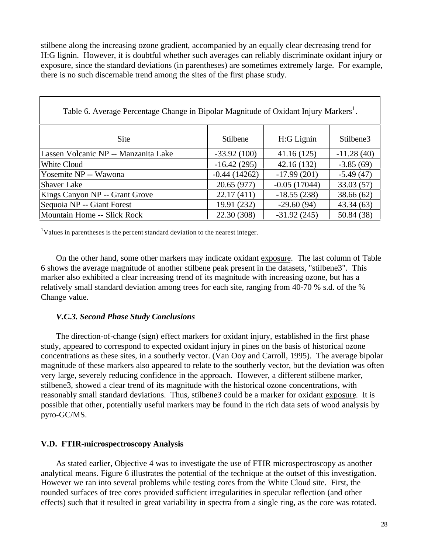stilbene along the increasing ozone gradient, accompanied by an equally clear decreasing trend for H:G lignin. However, it is doubtful whether such averages can reliably discriminate oxidant injury or exposure, since the standard deviations (in parentheses) are sometimes extremely large. For example, there is no such discernable trend among the sites of the first phase study.

| Table 6. Average Percentage Change in Bipolar Magnitude of Oxidant Injury Markers <sup>1</sup> . |                 |                |              |  |  |  |  |
|--------------------------------------------------------------------------------------------------|-----------------|----------------|--------------|--|--|--|--|
| Site                                                                                             | <b>Stilbene</b> | H:G Lignin     | Stilbene3    |  |  |  |  |
| Lassen Volcanic NP -- Manzanita Lake                                                             | $-33.92(100)$   | 41.16(125)     | $-11.28(40)$ |  |  |  |  |
| White Cloud                                                                                      | $-16.42(295)$   | 42.16(132)     | $-3.85(69)$  |  |  |  |  |
| Yosemite NP -- Wawona                                                                            | $-0.44(14262)$  | $-17.99(201)$  | $-5.49(47)$  |  |  |  |  |
| <b>Shaver Lake</b>                                                                               | 20.65 (977)     | $-0.05(17044)$ | 33.03(57)    |  |  |  |  |
| Kings Canyon NP -- Grant Grove                                                                   | 22.17(411)      | $-18.55(238)$  | 38.66(62)    |  |  |  |  |
| Sequoia NP -- Giant Forest                                                                       | 19.91 (232)     | $-29.60(94)$   | 43.34(63)    |  |  |  |  |
| Mountain Home -- Slick Rock                                                                      | 22.30 (308)     | $-31.92(245)$  | 50.84 (38)   |  |  |  |  |

 $1$ Values in parentheses is the percent standard deviation to the nearest integer.

On the other hand, some other markers may indicate oxidant exposure. The last column of Table 6 shows the average magnitude of another stilbene peak present in the datasets, "stilbene3". This marker also exhibited a clear increasing trend of its magnitude with increasing ozone, but has a relatively small standard deviation among trees for each site, ranging from 40-70 % s.d. of the % Change value.

#### *V.C.3. Second Phase Study Conclusions*

The direction-of-change (sign) effect markers for oxidant injury, established in the first phase study, appeared to correspond to expected oxidant injury in pines on the basis of historical ozone concentrations as these sites, in a southerly vector. (Van Ooy and Carroll, 1995). The average bipolar magnitude of these markers also appeared to relate to the southerly vector, but the deviation was often very large, severely reducing confidence in the approach. However, a different stilbene marker, stilbene3, showed a clear trend of its magnitude with the historical ozone concentrations, with reasonably small standard deviations. Thus, stilbene3 could be a marker for oxidant exposure. It is possible that other, potentially useful markers may be found in the rich data sets of wood analysis by pyro-GC/MS.

#### **V.D. FTIR-microspectroscopy Analysis**

As stated earlier, Objective 4 was to investigate the use of FTIR microspectroscopy as another analytical means. Figure 6 illustrates the potential of the technique at the outset of this investigation. However we ran into several problems while testing cores from the White Cloud site. First, the rounded surfaces of tree cores provided sufficient irregularities in specular reflection (and other effects) such that it resulted in great variability in spectra from a single ring, as the core was rotated.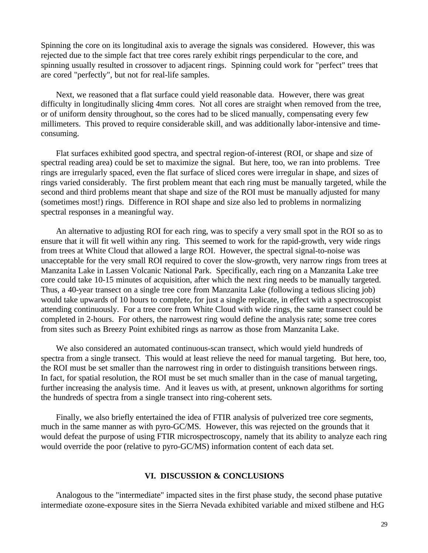Spinning the core on its longitudinal axis to average the signals was considered. However, this was rejected due to the simple fact that tree cores rarely exhibit rings perpendicular to the core, and spinning usually resulted in crossover to adjacent rings. Spinning could work for "perfect" trees that are cored "perfectly", but not for real-life samples.

Next, we reasoned that a flat surface could yield reasonable data. However, there was great difficulty in longitudinally slicing 4mm cores. Not all cores are straight when removed from the tree, or of uniform density throughout, so the cores had to be sliced manually, compensating every few millimeters. This proved to require considerable skill, and was additionally labor-intensive and timeconsuming.

Flat surfaces exhibited good spectra, and spectral region-of-interest (ROI, or shape and size of spectral reading area) could be set to maximize the signal. But here, too, we ran into problems. Tree rings are irregularly spaced, even the flat surface of sliced cores were irregular in shape, and sizes of rings varied considerably. The first problem meant that each ring must be manually targeted, while the second and third problems meant that shape and size of the ROI must be manually adjusted for many (sometimes most!) rings. Difference in ROI shape and size also led to problems in normalizing spectral responses in a meaningful way.

An alternative to adjusting ROI for each ring, was to specify a very small spot in the ROI so as to ensure that it will fit well within any ring. This seemed to work for the rapid-growth, very wide rings from trees at White Cloud that allowed a large ROI. However, the spectral signal-to-noise was unacceptable for the very small ROI required to cover the slow-growth, very narrow rings from trees at Manzanita Lake in Lassen Volcanic National Park. Specifically, each ring on a Manzanita Lake tree core could take 10-15 minutes of acquisition, after which the next ring needs to be manually targeted. Thus, a 40-year transect on a single tree core from Manzanita Lake (following a tedious slicing job) would take upwards of 10 hours to complete, for just a single replicate, in effect with a spectroscopist attending continuously. For a tree core from White Cloud with wide rings, the same transect could be completed in 2-hours. For others, the narrowest ring would define the analysis rate; some tree cores from sites such as Breezy Point exhibited rings as narrow as those from Manzanita Lake.

We also considered an automated continuous-scan transect, which would yield hundreds of spectra from a single transect. This would at least relieve the need for manual targeting. But here, too, the ROI must be set smaller than the narrowest ring in order to distinguish transitions between rings. In fact, for spatial resolution, the ROI must be set much smaller than in the case of manual targeting, further increasing the analysis time. And it leaves us with, at present, unknown algorithms for sorting the hundreds of spectra from a single transect into ring-coherent sets.

Finally, we also briefly entertained the idea of FTIR analysis of pulverized tree core segments, much in the same manner as with pyro-GC/MS. However, this was rejected on the grounds that it would defeat the purpose of using FTIR microspectroscopy, namely that its ability to analyze each ring would override the poor (relative to pyro-GC/MS) information content of each data set.

#### **VI. DISCUSSION & CONCLUSIONS**

Analogous to the "intermediate" impacted sites in the first phase study, the second phase putative intermediate ozone-exposure sites in the Sierra Nevada exhibited variable and mixed stilbene and H:G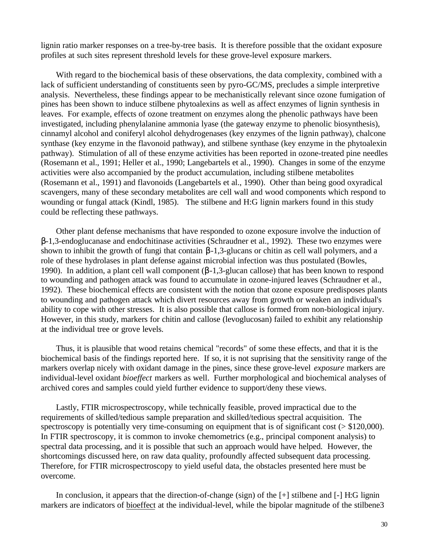lignin ratio marker responses on a tree-by-tree basis. It is therefore possible that the oxidant exposure profiles at such sites represent threshold levels for these grove-level exposure markers.

With regard to the biochemical basis of these observations, the data complexity, combined with a lack of sufficient understanding of constituents seen by pyro-GC/MS, precludes a simple interpretive analysis. Nevertheless, these findings appear to be mechanistically relevant since ozone fumigation of pines has been shown to induce stilbene phytoalexins as well as affect enzymes of lignin synthesis in leaves. For example, effects of ozone treatment on enzymes along the phenolic pathways have been investigated, including phenylalanine ammonia lyase (the gateway enzyme to phenolic biosynthesis), cinnamyl alcohol and coniferyl alcohol dehydrogenases (key enzymes of the lignin pathway), chalcone synthase (key enzyme in the flavonoid pathway), and stilbene synthase (key enzyme in the phytoalexin pathway). Stimulation of all of these enzyme activities has been reported in ozone-treated pine needles (Rosemann et al., 1991; Heller et al., 1990; Langebartels et al., 1990). Changes in some of the enzyme activities were also accompanied by the product accumulation, including stilbene metabolites (Rosemann et al., 1991) and flavonoids (Langebartels et al., 1990). Other than being good oxyradical scavengers, many of these secondary metabolites are cell wall and wood components which respond to wounding or fungal attack (Kindl, 1985). The stilbene and H:G lignin markers found in this study could be reflecting these pathways.

Other plant defense mechanisms that have responded to ozone exposure involve the induction of b-1,3-endoglucanase and endochitinase activities (Schraudner et al., 1992). These two enzymes were shown to inhibit the growth of fungi that contain  $\beta$ -1,3-glucans or chitin as cell wall polymers, and a role of these hydrolases in plant defense against microbial infection was thus postulated (Bowles, 1990). In addition, a plant cell wall component  $(\beta-1,3)$ -glucan callose) that has been known to respond to wounding and pathogen attack was found to accumulate in ozone-injured leaves (Schraudner et al., 1992). These biochemical effects are consistent with the notion that ozone exposure predisposes plants to wounding and pathogen attack which divert resources away from growth or weaken an individual's ability to cope with other stresses. It is also possible that callose is formed from non-biological injury. However, in this study, markers for chitin and callose (levoglucosan) failed to exhibit any relationship at the individual tree or grove levels.

Thus, it is plausible that wood retains chemical "records" of some these effects, and that it is the biochemical basis of the findings reported here. If so, it is not suprising that the sensitivity range of the markers overlap nicely with oxidant damage in the pines, since these grove-level *exposure* markers are individual-level oxidant *bioeffect* markers as well. Further morphological and biochemical analyses of archived cores and samples could yield further evidence to support/deny these views.

Lastly, FTIR microspectroscopy, while technically feasible, proved impractical due to the requirements of skilled/tedious sample preparation and skilled/tedious spectral acquisition. The spectroscopy is potentially very time-consuming on equipment that is of significant cost ( $>$  \$120,000). In FTIR spectroscopy, it is common to invoke chemometrics (e.g., principal component analysis) to spectral data processing, and it is possible that such an approach would have helped. However, the shortcomings discussed here, on raw data quality, profoundly affected subsequent data processing. Therefore, for FTIR microspectroscopy to yield useful data, the obstacles presented here must be overcome.

In conclusion, it appears that the direction-of-change (sign) of the [+] stilbene and [-] H:G lignin markers are indicators of bioeffect at the individual-level, while the bipolar magnitude of the stilbene3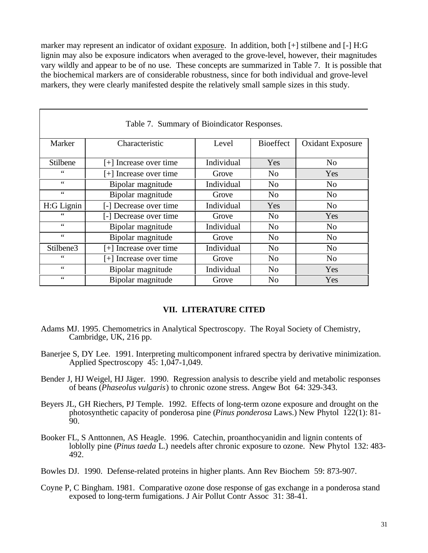marker may represent an indicator of oxidant exposure. In addition, both [+] stilbene and [-] H:G lignin may also be exposure indicators when averaged to the grove-level, however, their magnitudes vary wildly and appear to be of no use. These concepts are summarized in Table 7. It is possible that the biochemical markers are of considerable robustness, since for both individual and grove-level markers, they were clearly manifested despite the relatively small sample sizes in this study.

| Table 7. Summary of Bioindicator Responses. |                          |            |                  |                         |  |  |  |  |
|---------------------------------------------|--------------------------|------------|------------------|-------------------------|--|--|--|--|
| Marker                                      | Characteristic           | Level      | <b>Bioeffect</b> | <b>Oxidant Exposure</b> |  |  |  |  |
| Stilbene                                    | [+] Increase over time   | Individual | Yes              | N <sub>o</sub>          |  |  |  |  |
| $\zeta$ $\zeta$                             | $[+]$ Increase over time | Grove      | N <sub>0</sub>   | <b>Yes</b>              |  |  |  |  |
| $\zeta \zeta$                               | Bipolar magnitude        | Individual | N <sub>0</sub>   | No                      |  |  |  |  |
| $\zeta \zeta$                               | Bipolar magnitude        | Grove      | N <sub>0</sub>   | N <sub>o</sub>          |  |  |  |  |
| H:G Lignin                                  | [-] Decrease over time   | Individual | Yes              | N <sub>o</sub>          |  |  |  |  |
| 66                                          | [-] Decrease over time   | Grove      | N <sub>0</sub>   | Yes                     |  |  |  |  |
| $\zeta \zeta$                               | Bipolar magnitude        | Individual | N <sub>0</sub>   | N <sub>0</sub>          |  |  |  |  |
| $\zeta \zeta$                               | Bipolar magnitude        | Grove      | N <sub>0</sub>   | N <sub>o</sub>          |  |  |  |  |
| Stilbene3                                   | [+] Increase over time   | Individual | N <sub>0</sub>   | No                      |  |  |  |  |
| 66                                          | [+] Increase over time   | Grove      | N <sub>0</sub>   | N <sub>0</sub>          |  |  |  |  |
| $\zeta$ $\zeta$                             | Bipolar magnitude        | Individual | N <sub>o</sub>   | Yes                     |  |  |  |  |
| 66                                          | Bipolar magnitude        | Grove      | No               | Yes                     |  |  |  |  |

### **VII. LITERATURE CITED**

- Adams MJ. 1995. Chemometrics in Analytical Spectroscopy. The Royal Society of Chemistry, Cambridge, UK, 216 pp.
- Baneriee S, DY Lee. 1991. Interpreting multicomponent infrared spectra by derivative minimization. Applied Spectroscopy 45: 1,047-1,049.
- Bender J, HJ Weigel, HJ Jäger. 1990. Regression analysis to describe yield and metabolic responses of beans (*Phaseolus vulgaris*) to chronic ozone stress. Angew Bot 64: 329-343.
- Beyers JL, GH Riechers, PJ Temple. 1992. Effects of long-term ozone exposure and drought on the photosynthetic capacity of ponderosa pine (*Pinus ponderosa* Laws.) New Phytol 122(1): 81-  $90.$
- Booker FL, S Anttonnen, AS Heagle. 1996. Catechin, proanthocyanidin and lignin contents of loblolly pine (*Pinus taeda* L.) needels after chronic exposure to ozone. New Phytol 132: 483- 492.
- Bowles DJ. 1990. Defense-related proteins in higher plants. Ann Rev Biochem 59: 873-907.
- Coyne P, C Bingham. 1981. Comparative ozone dose response of gas exchange in a ponderosa stand exposed to long-term fumigations. J Air Pollut Contr Assoc 31: 38-41.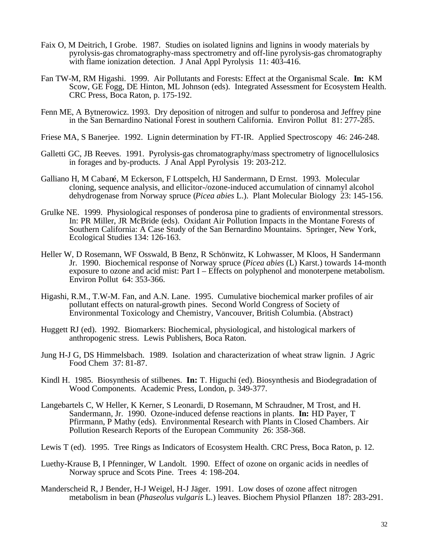- Faix O, M Deitrich, I Grobe. 1987. Studies on isolated lignins and lignins in woody materials by pyrolysis-gas chromatography-mass spectrometry and off-line pyrolysis-gas chromatography with flame ionization detection. J Anal Appl Pyrolysis 11: 403-416.
- Fan TW-M, RM Higashi. 1999. Air Pollutants and Forests: Effect at the Organismal Scale. **In:** KM Scow, GE Fogg, DE Hinton, ML Johnson (eds). Integrated Assessment for Ecosystem Health. CRC Press, Boca Raton, p. 175-192.
- Fenn ME, A Bytnerowicz. 1993. Dry deposition of nitrogen and sulfur to ponderosa and Jeffrey pine in the San Bernardino National Forest in southern California. Environ Pollut 81: 277-285.
- Friese MA, S Banerjee. 1992. Lignin determination by FT-IR. Applied Spectroscopy 46: 246-248.
- Galletti GC, JB Reeves. 1991. Pyrolysis-gas chromatography/mass spectrometry of lignocellulosics in forages and by-products. J Anal Appl Pyrolysis 19: 203-212.
- Galliano H, M Cabané, M Eckerson, F Lottspelch, HJ Sandermann, D Ernst. 1993. Molecular cloning, sequence analysis, and ellicitor-/ozone-induced accumulation of cinnamyl alcohol dehydrogenase from Norway spruce (*Picea abies* L.). Plant Molecular Biology 23: 145-156.
- Grulke NE. 1999. Physiological responses of ponderosa pine to gradients of environmental stressors. In: PR Miller, JR McBride (eds). Oxidant Air Pollution Impacts in the Montane Forests of Southern California: A Case Study of the San Bernardino Mountains. Springer, New York, Ecological Studies 134: 126-163.
- Heller W, D Rosemann, WF Osswald, B Benz, R Schönwitz, K Lohwasser, M Kloos, H Sandermann Jr. 1990. Biochemical response of Norway spruce (*Picea abies* (L) Karst.) towards 14-month exposure to ozone and acid mist: Part I – Effects on polyphenol and monoterpene metabolism. Environ Pollut 64: 353-366.
- Higashi, R.M., T.W-M. Fan, and A.N. Lane. 1995. Cumulative biochemical marker profiles of air pollutant effects on natural-growth pines. Second World Congress of Society of Environmental Toxicology and Chemistry, Vancouver, British Columbia. (Abstract)
- Huggett RJ (ed). 1992. Biomarkers: Biochemical, physiological, and histological markers of anthropogenic stress. Lewis Publishers, Boca Raton.
- Jung H-J G, DS Himmelsbach. 1989. Isolation and characterization of wheat straw lignin. J Agric Food Chem 37: 81-87.
- Kindl H. 1985. Biosynthesis of stilbenes. **In:** T. Higuchi (ed). Biosynthesis and Biodegradation of Wood Components. Academic Press, London, p. 349-377.
- Langebartels C, W Heller, K Kerner, S Leonardi, D Rosemann, M Schraudner, M Trost, and H. Sandermann, Jr. 1990. Ozone-induced defense reactions in plants. **In:** HD Payer, T Pfirrmann, P Mathy (eds). Environmental Research with Plants in Closed Chambers. Air Pollution Research Reports of the European Community 26: 358-368.
- Lewis T (ed). 1995. Tree Rings as Indicators of Ecosystem Health. CRC Press, Boca Raton, p. 12.
- Luethy-Krause B, I Pfenninger, W Landolt. 1990. Effect of ozone on organic acids in needles of Norway spruce and Scots Pine. Trees 4: 198-204.
- Manderscheid R, J Bender, H-J Weigel, H-J Jäger. 1991. Low doses of ozone affect nitrogen metabolism in bean (*Phaseolus vulgaris* L.) leaves. Biochem Physiol Pflanzen 187: 283-291.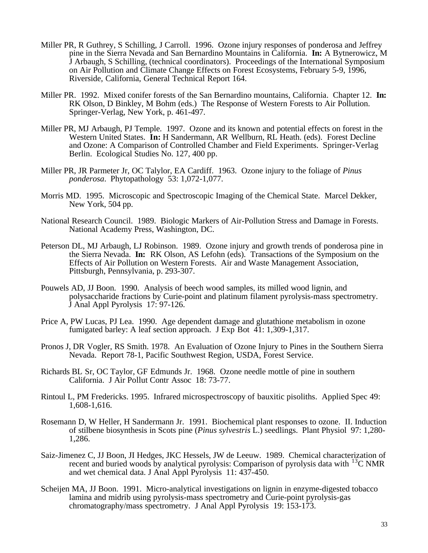- Miller PR, R Guthrey, S Schilling, J Carroll. 1996. Ozone injury responses of ponderosa and Jeffrey pine in the Sierra Nevada and San Bernardino Mountains in California. **In:** A Bytnerowicz, M J Arbaugh, S Schilling, (technical coordinators). Proceedings of the International Symposium on Air Pollution and Climate Change Effects on Forest Ecosystems, February 5-9, 1996, Riverside, California, General Technical Report 164.
- Miller PR. 1992. Mixed conifer forests of the San Bernardino mountains, California. Chapter 12. **In:**  RK Olson, D Binkley, M Bohm (eds.) The Response of Western Forests to Air Pollution. Springer-Verlag, New York, p. 461-497.
- Miller PR, MJ Arbaugh, PJ Temple. 1997. Ozone and its known and potential effects on forest in the Western United States. **In:** H Sandermann, AR Wellburn, RL Heath. (eds). Forest Decline and Ozone: A Comparison of Controlled Chamber and Field Experiments. Springer-Verlag Berlin. Ecological Studies No. 127, 400 pp.
- Miller PR, JR Parmeter Jr, OC Talylor, EA Cardiff. 1963. Ozone injury to the foliage of *Pinus ponderosa*. Phytopathology 53: 1,072-1,077.
- Morris MD. 1995. Microscopic and Spectroscopic Imaging of the Chemical State. Marcel Dekker, New York, 504 pp.
- National Research Council. 1989. Biologic Markers of Air-Pollution Stress and Damage in Forests. National Academy Press, Washington, DC.
- Peterson DL, MJ Arbaugh, LJ Robinson. 1989. Ozone injury and growth trends of ponderosa pine in the Sierra Nevada. **In:** RK Olson, AS Lefohn (eds). Transactions of the Symposium on the Effects of Air Pollution on Western Forests. Air and Waste Management Association, Pittsburgh, Pennsylvania, p. 293-307.
- Pouwels AD, JJ Boon. 1990. Analysis of beech wood samples, its milled wood lignin, and polysaccharide fractions by Curie-point and platinum filament pyrolysis-mass spectrometry. J Anal Appl Pyrolysis 17: 97-126.
- Price A, PW Lucas, PJ Lea. 1990. Age dependent damage and glutathione metabolism in ozone fumigated barley: A leaf section approach. J Exp Bot 41: 1,309-1,317.
- Pronos J, DR Vogler, RS Smith. 1978. An Evaluation of Ozone Injury to Pines in the Southern Sierra Nevada. Report 78-1, Pacific Southwest Region, USDA, Forest Service.
- Richards BL Sr, OC Taylor, GF Edmunds Jr. 1968. Ozone needle mottle of pine in southern California. J Air Pollut Contr Assoc 18: 73-77.
- Rintoul L, PM Fredericks. 1995. Infrared microspectroscopy of bauxitic pisoliths. Applied Spec 49: 1,608-1,616.
- Rosemann D, W Heller, H Sandermann Jr. 1991. Biochemical plant responses to ozone. II. Induction of stilbene biosynthesis in Scots pine (*Pinus sylvestris* L.) seedlings. Plant Physiol 97: 1,280- 1,286.
- Saiz-Jimenez C, JJ Boon, JI Hedges, JKC Hessels, JW de Leeuw. 1989. Chemical characterization of recent and buried woods by analytical pyrolysis: Comparison of pyrolysis data with 13C NMR and wet chemical data. J Anal Appl Pyrolysis 11: 437-450.
- Scheijen MA, JJ Boon. 1991. Micro-analytical investigations on lignin in enzyme-digested tobacco lamina and midrib using pyrolysis-mass spectrometry and Curie-point pyrolysis-gas chromatography/mass spectrometry. J Anal Appl Pyrolysis 19: 153-173.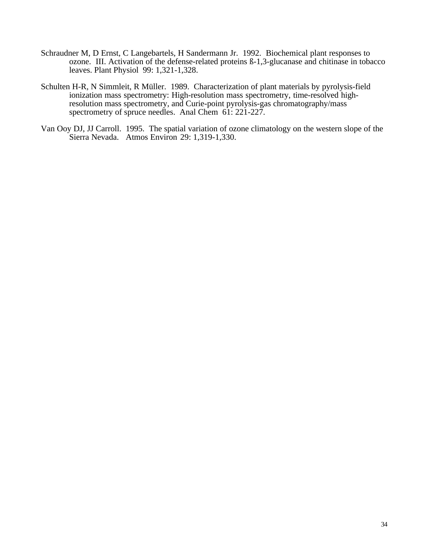- Schraudner M, D Ernst, C Langebartels, H Sandermann Jr. 1992. Biochemical plant responses to ozone. III. Activation of the defense-related proteins ß-1,3-glucanase and chitinase in tobacco leaves. Plant Physiol 99: 1,321-1,328.
- Schulten H-R, N Simmleit, R Müller. 1989. Characterization of plant materials by pyrolysis-field ionization mass spectrometry: High-resolution mass spectrometry, time-resolved highresolution mass spectrometry, and Curie-point pyrolysis-gas chromatography/mass spectrometry of spruce needles. Anal Chem 61: 221-227.
- Van Ooy DJ, JJ Carroll. 1995. The spatial variation of ozone climatology on the western slope of the Sierra Nevada. Atmos Environ 29: 1,319-1,330.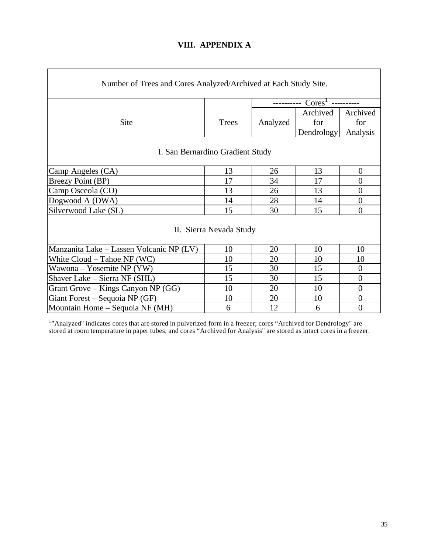# **VIII. APPENDIX A**

| Number of Trees and Cores Analyzed/Archived at Each Study Site. |              |                                 |            |                  |  |
|-----------------------------------------------------------------|--------------|---------------------------------|------------|------------------|--|
|                                                                 |              | $\mathrm{Cores}^1$<br>--------- |            |                  |  |
| Site                                                            | <b>Trees</b> | Analyzed                        | Archived   | Archived         |  |
|                                                                 |              |                                 | for        | for              |  |
|                                                                 |              |                                 | Dendrology | Analysis         |  |
| I. San Bernardino Gradient Study                                |              |                                 |            |                  |  |
| Camp Angeles (CA)                                               | 13           | 26                              | 13         | $\boldsymbol{0}$ |  |
| <b>Breezy Point (BP)</b>                                        | 17           | 34                              | 17         | $\boldsymbol{0}$ |  |
| Camp Osceola (CO)                                               | 13           | 26                              | 13         | $\boldsymbol{0}$ |  |
| Dogwood A (DWA)                                                 | 14           | 28                              | 14         | $\boldsymbol{0}$ |  |
| Silverwood Lake (SL)                                            | 15           | 30                              | 15         | $\boldsymbol{0}$ |  |
| II. Sierra Nevada Study                                         |              |                                 |            |                  |  |
| Manzanita Lake – Lassen Volcanic NP (LV)                        | 10           | 20                              | 10         | 10               |  |
| White $Cloud - Table NF (WC)$                                   | 10           | 20                              | 10         | 10               |  |
| Wawona – Yosemite NP $(YW)$                                     | 15           | 30                              | 15         | $\boldsymbol{0}$ |  |
| Shaver Lake – Sierra NF (SHL)                                   | 15           | 30                              | 15         | $\overline{0}$   |  |
| Grant Grove – Kings Canyon NP $(GG)$                            | 10           | 20                              | 10         | $\boldsymbol{0}$ |  |
| Giant Forest – Sequoia NP (GF)                                  | 10           | 20                              | 10         | $\boldsymbol{0}$ |  |
| Mountain Home – Sequoia NF (MH)                                 | 6            | 12                              | 6          | $\overline{0}$   |  |

<sup>1</sup>"Analyzed" indicates cores that are stored in pulverized form in a freezer; cores "Archived for Dendrology" are stored at room temperature in paper tubes; and cores "Archived for Analysis" are stored as intact cores in a freezer.